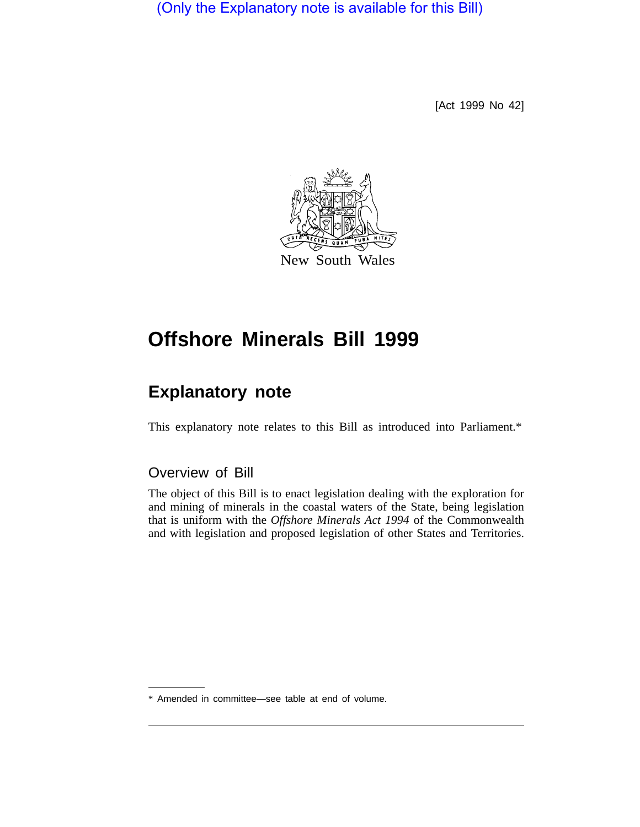(Only the Explanatory note is available for this Bill)

[Act 1999 No 42]



# **Offshore Minerals Bill 1999**

# **Explanatory note**

This explanatory note relates to this Bill as introduced into Parliament.\*

# Overview of Bill

The object of this Bill is to enact legislation dealing with the exploration for and mining of minerals in the coastal waters of the State, being legislation that is uniform with the *Offshore Minerals Act 1994* of the Commonwealth and with legislation and proposed legislation of other States and Territories.

\* Amended in committee—see table at end of volume.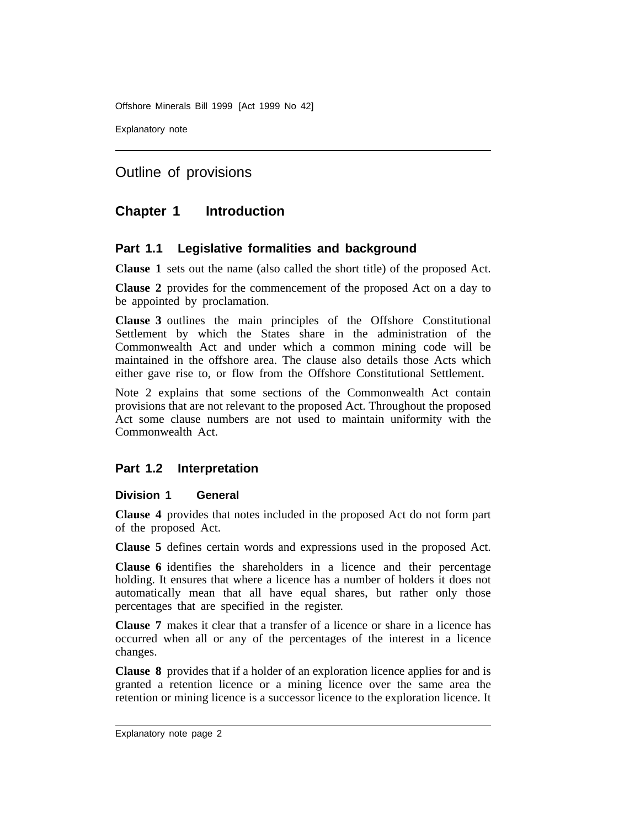Explanatory note

Outline of provisions

# **Chapter 1 Introduction**

## **Part 1.1 Legislative formalities and background**

**Clause 1** sets out the name (also called the short title) of the proposed Act.

**Clause 2** provides for the commencement of the proposed Act on a day to be appointed by proclamation.

**Clause 3** outlines the main principles of the Offshore Constitutional Settlement by which the States share in the administration of the Commonwealth Act and under which a common mining code will be maintained in the offshore area. The clause also details those Acts which either gave rise to, or flow from the Offshore Constitutional Settlement.

Note 2 explains that some sections of the Commonwealth Act contain provisions that are not relevant to the proposed Act. Throughout the proposed Act some clause numbers are not used to maintain uniformity with the Commonwealth Act.

## **Part 1.2 Interpretation**

### **Division 1 General**

**Clause 4** provides that notes included in the proposed Act do not form part of the proposed Act.

**Clause 5** defines certain words and expressions used in the proposed Act.

**Clause 6** identifies the shareholders in a licence and their percentage holding. It ensures that where a licence has a number of holders it does not automatically mean that all have equal shares, but rather only those percentages that are specified in the register.

**Clause 7** makes it clear that a transfer of a licence or share in a licence has occurred when all or any of the percentages of the interest in a licence changes.

**Clause 8** provides that if a holder of an exploration licence applies for and is granted a retention licence or a mining licence over the same area the retention or mining licence is a successor licence to the exploration licence. It

Explanatory note page 2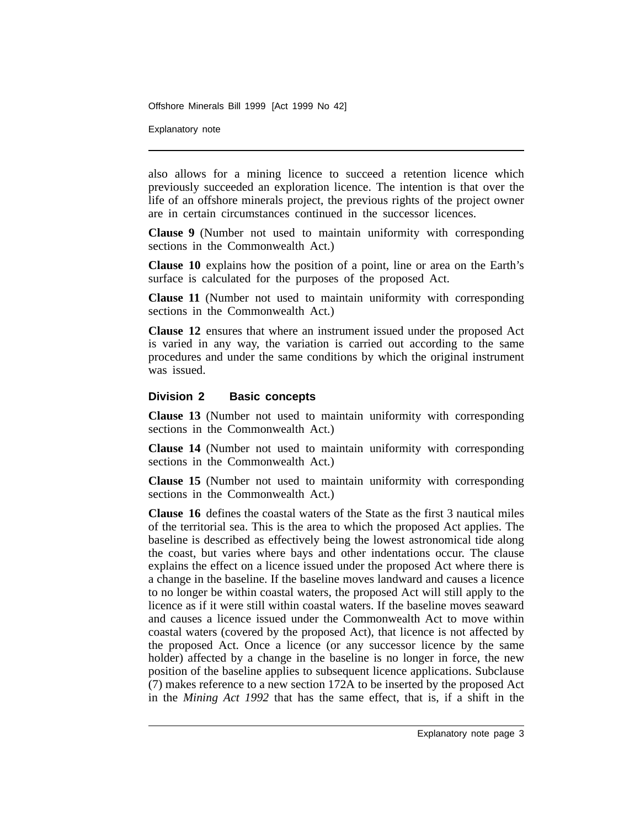Explanatory note

also allows for a mining licence to succeed a retention licence which previously succeeded an exploration licence. The intention is that over the life of an offshore minerals project, the previous rights of the project owner are in certain circumstances continued in the successor licences.

**Clause 9** (Number not used to maintain uniformity with corresponding sections in the Commonwealth Act.)

**Clause 10** explains how the position of a point, line or area on the Earth's surface is calculated for the purposes of the proposed Act.

**Clause 11** (Number not used to maintain uniformity with corresponding sections in the Commonwealth Act.)

**Clause 12** ensures that where an instrument issued under the proposed Act is varied in any way, the variation is carried out according to the same procedures and under the same conditions by which the original instrument was issued.

#### **Division 2 Basic concepts**

**Clause 13** (Number not used to maintain uniformity with corresponding sections in the Commonwealth Act.)

**Clause 14** (Number not used to maintain uniformity with corresponding sections in the Commonwealth Act.)

**Clause 15** (Number not used to maintain uniformity with corresponding sections in the Commonwealth Act.)

**Clause 16** defines the coastal waters of the State as the first 3 nautical miles of the territorial sea. This is the area to which the proposed Act applies. The baseline is described as effectively being the lowest astronomical tide along the coast, but varies where bays and other indentations occur. The clause explains the effect on a licence issued under the proposed Act where there is a change in the baseline. If the baseline moves landward and causes a licence to no longer be within coastal waters, the proposed Act will still apply to the licence as if it were still within coastal waters. If the baseline moves seaward and causes a licence issued under the Commonwealth Act to move within coastal waters (covered by the proposed Act), that licence is not affected by the proposed Act. Once a licence (or any successor licence by the same holder) affected by a change in the baseline is no longer in force, the new position of the baseline applies to subsequent licence applications. Subclause (7) makes reference to a new section 172A to be inserted by the proposed Act in the *Mining Act 1992* that has the same effect, that is, if a shift in the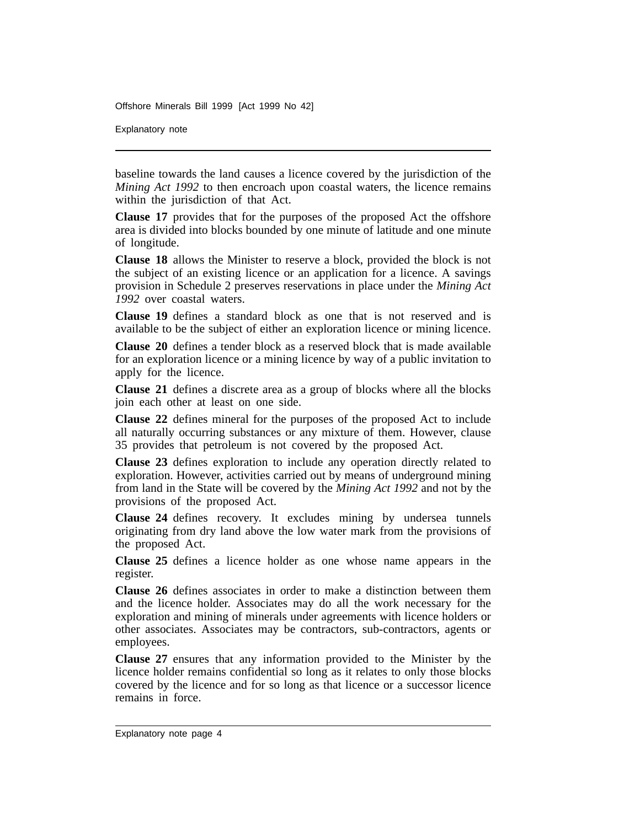Explanatory note

baseline towards the land causes a licence covered by the jurisdiction of the *Mining Act 1992* to then encroach upon coastal waters, the licence remains within the jurisdiction of that Act.

**Clause 17** provides that for the purposes of the proposed Act the offshore area is divided into blocks bounded by one minute of latitude and one minute of longitude.

**Clause 18** allows the Minister to reserve a block, provided the block is not the subject of an existing licence or an application for a licence. A savings provision in Schedule 2 preserves reservations in place under the *Mining Act 1992* over coastal waters.

**Clause 19** defines a standard block as one that is not reserved and is available to be the subject of either an exploration licence or mining licence.

**Clause 20** defines a tender block as a reserved block that is made available for an exploration licence or a mining licence by way of a public invitation to apply for the licence.

**Clause 21** defines a discrete area as a group of blocks where all the blocks join each other at least on one side.

**Clause 22** defines mineral for the purposes of the proposed Act to include all naturally occurring substances or any mixture of them. However, clause 35 provides that petroleum is not covered by the proposed Act.

**Clause 23** defines exploration to include any operation directly related to exploration. However, activities carried out by means of underground mining from land in the State will be covered by the *Mining Act 1992* and not by the provisions of the proposed Act.

**Clause 24** defines recovery. It excludes mining by undersea tunnels originating from dry land above the low water mark from the provisions of the proposed Act.

**Clause 25** defines a licence holder as one whose name appears in the register.

**Clause 26** defines associates in order to make a distinction between them and the licence holder. Associates may do all the work necessary for the exploration and mining of minerals under agreements with licence holders or other associates. Associates may be contractors, sub-contractors, agents or employees.

**Clause 27** ensures that any information provided to the Minister by the licence holder remains confidential so long as it relates to only those blocks covered by the licence and for so long as that licence or a successor licence remains in force.

Explanatory note page 4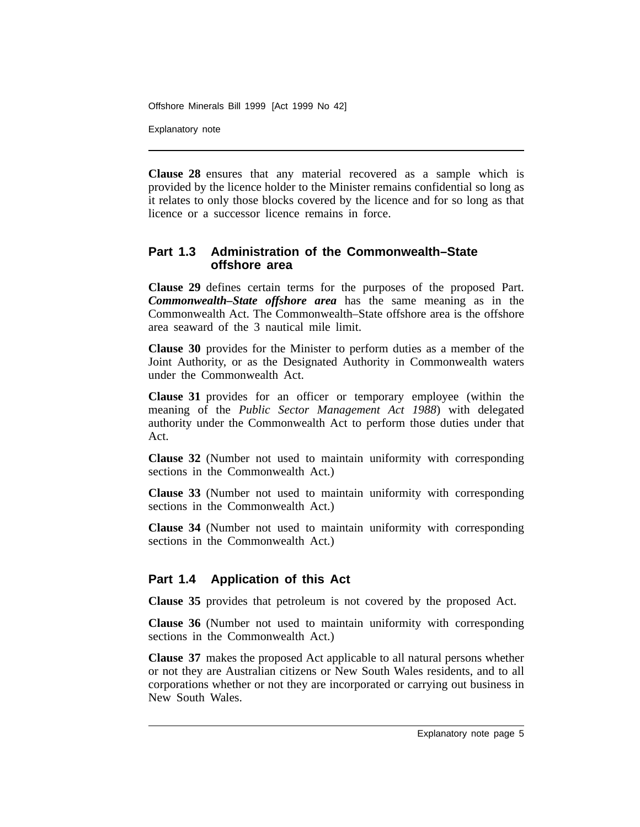Explanatory note

**Clause 28** ensures that any material recovered as a sample which is provided by the licence holder to the Minister remains confidential so long as it relates to only those blocks covered by the licence and for so long as that licence or a successor licence remains in force.

## **Part 1.3 Administration of the Commonwealth–State offshore area**

**Clause 29** defines certain terms for the purposes of the proposed Part. *Commonwealth–State offshore area* has the same meaning as in the Commonwealth Act. The Commonwealth–State offshore area is the offshore area seaward of the 3 nautical mile limit.

**Clause 30** provides for the Minister to perform duties as a member of the Joint Authority, or as the Designated Authority in Commonwealth waters under the Commonwealth Act.

**Clause 31** provides for an officer or temporary employee (within the meaning of the *Public Sector Management Act 1988*) with delegated authority under the Commonwealth Act to perform those duties under that Act.

**Clause 32** (Number not used to maintain uniformity with corresponding sections in the Commonwealth Act.)

**Clause 33** (Number not used to maintain uniformity with corresponding sections in the Commonwealth Act.)

**Clause 34** (Number not used to maintain uniformity with corresponding sections in the Commonwealth Act.)

## **Part 1.4 Application of this Act**

**Clause 35** provides that petroleum is not covered by the proposed Act.

**Clause 36** (Number not used to maintain uniformity with corresponding sections in the Commonwealth Act.)

**Clause 37** makes the proposed Act applicable to all natural persons whether or not they are Australian citizens or New South Wales residents, and to all corporations whether or not they are incorporated or carrying out business in New South Wales.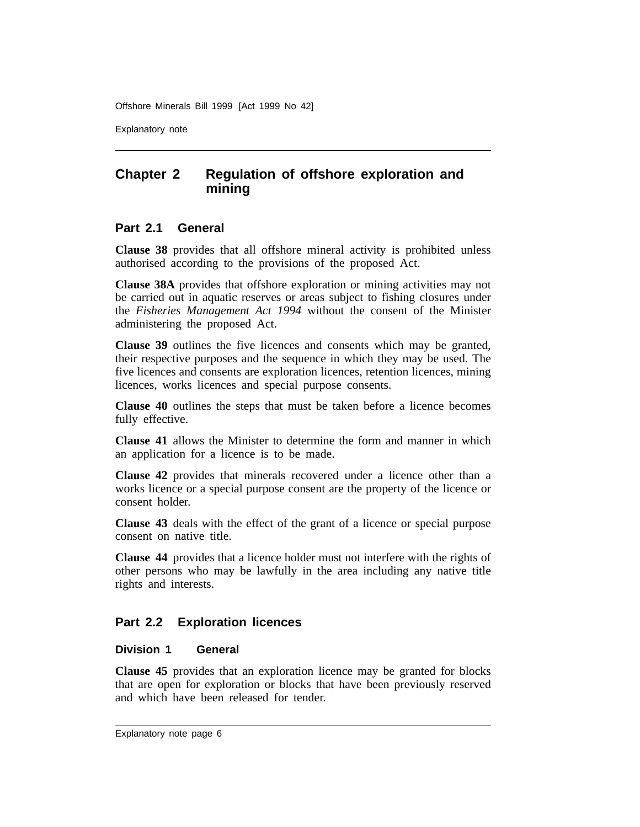Explanatory note

# **Chapter 2 Regulation of offshore exploration and mining**

## **Part 2.1 General**

**Clause 38** provides that all offshore mineral activity is prohibited unless authorised according to the provisions of the proposed Act.

**Clause 38A** provides that offshore exploration or mining activities may not be carried out in aquatic reserves or areas subject to fishing closures under the *Fisheries Management Act 1994* without the consent of the Minister administering the proposed Act.

**Clause 39** outlines the five licences and consents which may be granted, their respective purposes and the sequence in which they may be used. The five licences and consents are exploration licences, retention licences, mining licences, works licences and special purpose consents.

**Clause 40** outlines the steps that must be taken before a licence becomes fully effective.

**Clause 41** allows the Minister to determine the form and manner in which an application for a licence is to be made.

**Clause 42** provides that minerals recovered under a licence other than a works licence or a special purpose consent are the property of the licence or consent holder.

**Clause 43** deals with the effect of the grant of a licence or special purpose consent on native title.

**Clause 44** provides that a licence holder must not interfere with the rights of other persons who may be lawfully in the area including any native title rights and interests.

## **Part 2.2 Exploration licences**

## **Division 1 General**

**Clause 45** provides that an exploration licence may be granted for blocks that are open for exploration or blocks that have been previously reserved and which have been released for tender.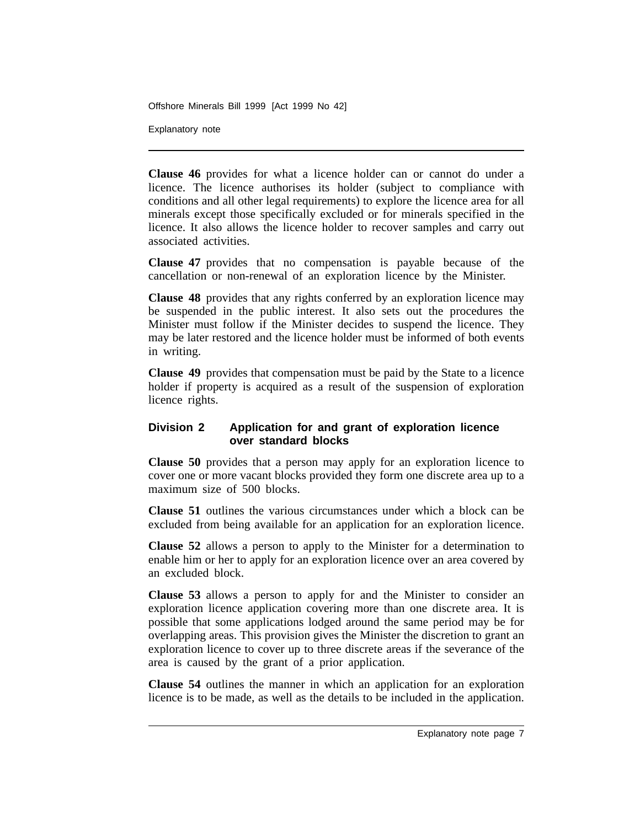Explanatory note

**Clause 46** provides for what a licence holder can or cannot do under a licence. The licence authorises its holder (subject to compliance with conditions and all other legal requirements) to explore the licence area for all minerals except those specifically excluded or for minerals specified in the licence. It also allows the licence holder to recover samples and carry out associated activities.

**Clause 47** provides that no compensation is payable because of the cancellation or non-renewal of an exploration licence by the Minister.

**Clause 48** provides that any rights conferred by an exploration licence may be suspended in the public interest. It also sets out the procedures the Minister must follow if the Minister decides to suspend the licence. They may be later restored and the licence holder must be informed of both events in writing.

**Clause 49** provides that compensation must be paid by the State to a licence holder if property is acquired as a result of the suspension of exploration licence rights.

## **Division 2 Application for and grant of exploration licence over standard blocks**

**Clause 50** provides that a person may apply for an exploration licence to cover one or more vacant blocks provided they form one discrete area up to a maximum size of 500 blocks.

**Clause 51** outlines the various circumstances under which a block can be excluded from being available for an application for an exploration licence.

**Clause 52** allows a person to apply to the Minister for a determination to enable him or her to apply for an exploration licence over an area covered by an excluded block.

**Clause 53** allows a person to apply for and the Minister to consider an exploration licence application covering more than one discrete area. It is possible that some applications lodged around the same period may be for overlapping areas. This provision gives the Minister the discretion to grant an exploration licence to cover up to three discrete areas if the severance of the area is caused by the grant of a prior application.

**Clause 54** outlines the manner in which an application for an exploration licence is to be made, as well as the details to be included in the application.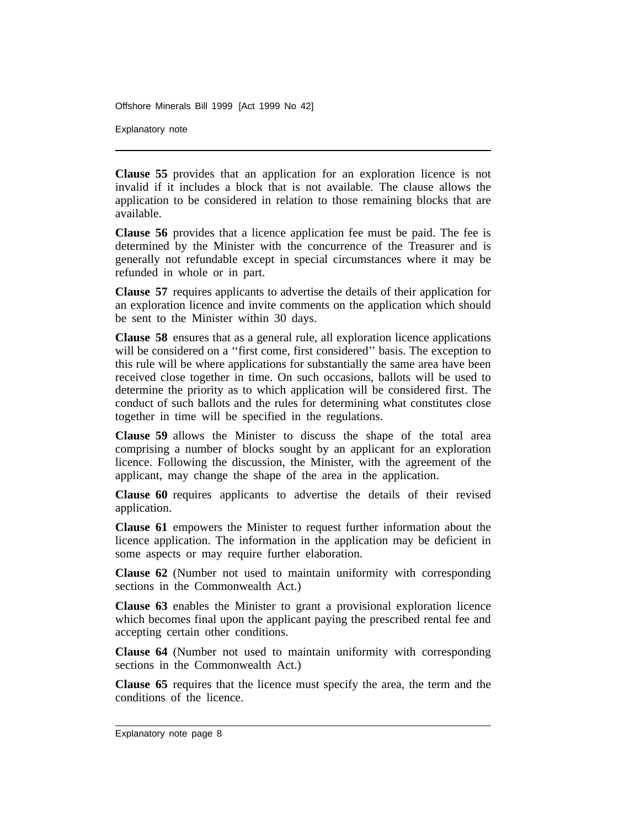Explanatory note

**Clause 55** provides that an application for an exploration licence is not invalid if it includes a block that is not available. The clause allows the application to be considered in relation to those remaining blocks that are available.

**Clause 56** provides that a licence application fee must be paid. The fee is determined by the Minister with the concurrence of the Treasurer and is generally not refundable except in special circumstances where it may be refunded in whole or in part.

**Clause 57** requires applicants to advertise the details of their application for an exploration licence and invite comments on the application which should be sent to the Minister within 30 days.

**Clause 58** ensures that as a general rule, all exploration licence applications will be considered on a "first come, first considered" basis. The exception to this rule will be where applications for substantially the same area have been received close together in time. On such occasions, ballots will be used to determine the priority as to which application will be considered first. The conduct of such ballots and the rules for determining what constitutes close together in time will be specified in the regulations.

**Clause 59** allows the Minister to discuss the shape of the total area comprising a number of blocks sought by an applicant for an exploration licence. Following the discussion, the Minister, with the agreement of the applicant, may change the shape of the area in the application.

**Clause 60** requires applicants to advertise the details of their revised application.

**Clause 61** empowers the Minister to request further information about the licence application. The information in the application may be deficient in some aspects or may require further elaboration.

**Clause 62** (Number not used to maintain uniformity with corresponding sections in the Commonwealth Act.)

**Clause 63** enables the Minister to grant a provisional exploration licence which becomes final upon the applicant paying the prescribed rental fee and accepting certain other conditions.

**Clause 64** (Number not used to maintain uniformity with corresponding sections in the Commonwealth Act.)

**Clause 65** requires that the licence must specify the area, the term and the conditions of the licence.

Explanatory note page 8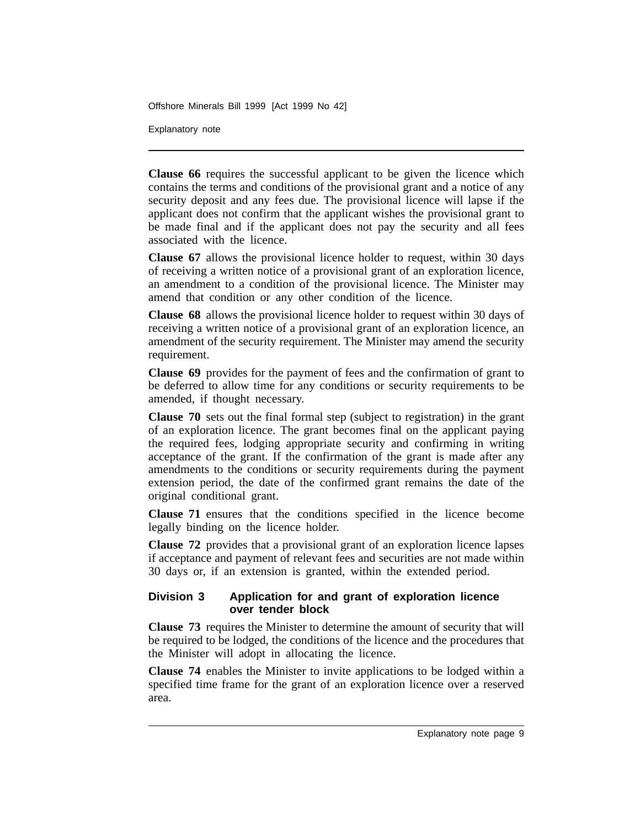Explanatory note

**Clause 66** requires the successful applicant to be given the licence which contains the terms and conditions of the provisional grant and a notice of any security deposit and any fees due. The provisional licence will lapse if the applicant does not confirm that the applicant wishes the provisional grant to be made final and if the applicant does not pay the security and all fees associated with the licence.

**Clause 67** allows the provisional licence holder to request, within 30 days of receiving a written notice of a provisional grant of an exploration licence, an amendment to a condition of the provisional licence. The Minister may amend that condition or any other condition of the licence.

**Clause 68** allows the provisional licence holder to request within 30 days of receiving a written notice of a provisional grant of an exploration licence, an amendment of the security requirement. The Minister may amend the security requirement.

**Clause 69** provides for the payment of fees and the confirmation of grant to be deferred to allow time for any conditions or security requirements to be amended, if thought necessary.

**Clause 70** sets out the final formal step (subject to registration) in the grant of an exploration licence. The grant becomes final on the applicant paying the required fees, lodging appropriate security and confirming in writing acceptance of the grant. If the confirmation of the grant is made after any amendments to the conditions or security requirements during the payment extension period, the date of the confirmed grant remains the date of the original conditional grant.

**Clause 71** ensures that the conditions specified in the licence become legally binding on the licence holder.

**Clause 72** provides that a provisional grant of an exploration licence lapses if acceptance and payment of relevant fees and securities are not made within 30 days or, if an extension is granted, within the extended period.

## **Division 3 Application for and grant of exploration licence over tender block**

**Clause 73** requires the Minister to determine the amount of security that will be required to be lodged, the conditions of the licence and the procedures that the Minister will adopt in allocating the licence.

**Clause 74** enables the Minister to invite applications to be lodged within a specified time frame for the grant of an exploration licence over a reserved area.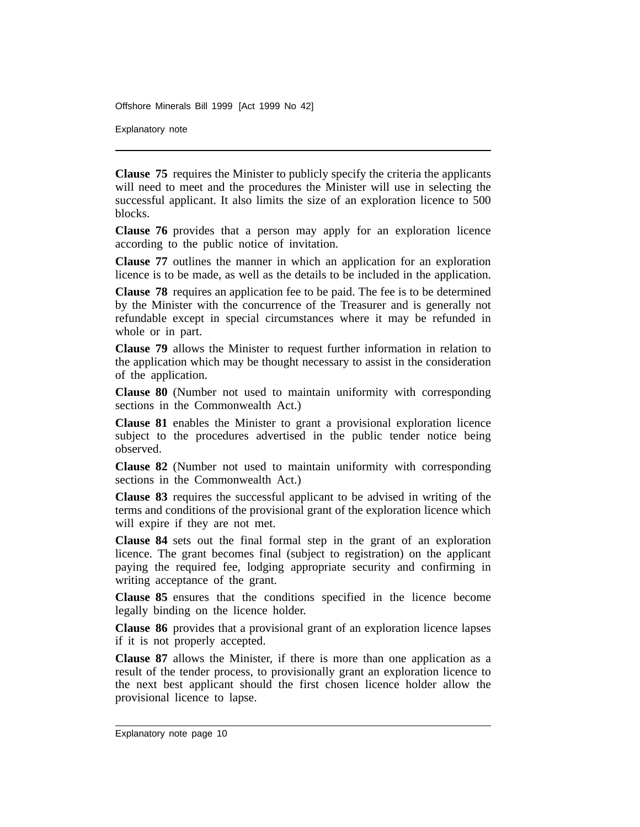Explanatory note

**Clause 75** requires the Minister to publicly specify the criteria the applicants will need to meet and the procedures the Minister will use in selecting the successful applicant. It also limits the size of an exploration licence to 500 blocks.

**Clause 76** provides that a person may apply for an exploration licence according to the public notice of invitation.

**Clause 77** outlines the manner in which an application for an exploration licence is to be made, as well as the details to be included in the application.

**Clause 78** requires an application fee to be paid. The fee is to be determined by the Minister with the concurrence of the Treasurer and is generally not refundable except in special circumstances where it may be refunded in whole or in part.

**Clause 79** allows the Minister to request further information in relation to the application which may be thought necessary to assist in the consideration of the application.

**Clause 80** (Number not used to maintain uniformity with corresponding sections in the Commonwealth Act.)

**Clause 81** enables the Minister to grant a provisional exploration licence subject to the procedures advertised in the public tender notice being observed.

**Clause 82** (Number not used to maintain uniformity with corresponding sections in the Commonwealth Act.)

**Clause 83** requires the successful applicant to be advised in writing of the terms and conditions of the provisional grant of the exploration licence which will expire if they are not met.

**Clause 84** sets out the final formal step in the grant of an exploration licence. The grant becomes final (subject to registration) on the applicant paying the required fee, lodging appropriate security and confirming in writing acceptance of the grant.

**Clause 85** ensures that the conditions specified in the licence become legally binding on the licence holder.

**Clause 86** provides that a provisional grant of an exploration licence lapses if it is not properly accepted.

**Clause 87** allows the Minister, if there is more than one application as a result of the tender process, to provisionally grant an exploration licence to the next best applicant should the first chosen licence holder allow the provisional licence to lapse.

Explanatory note page 10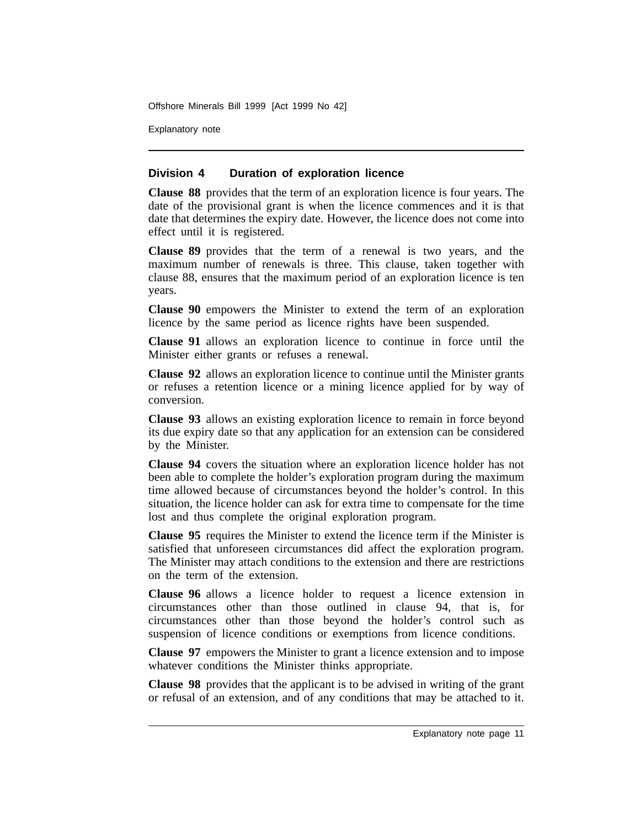Explanatory note

## **Division 4 Duration of exploration licence**

**Clause 88** provides that the term of an exploration licence is four years. The date of the provisional grant is when the licence commences and it is that date that determines the expiry date. However, the licence does not come into effect until it is registered.

**Clause 89** provides that the term of a renewal is two years, and the maximum number of renewals is three. This clause, taken together with clause 88, ensures that the maximum period of an exploration licence is ten years.

**Clause 90** empowers the Minister to extend the term of an exploration licence by the same period as licence rights have been suspended.

**Clause 91** allows an exploration licence to continue in force until the Minister either grants or refuses a renewal.

**Clause 92** allows an exploration licence to continue until the Minister grants or refuses a retention licence or a mining licence applied for by way of conversion.

**Clause 93** allows an existing exploration licence to remain in force beyond its due expiry date so that any application for an extension can be considered by the Minister.

**Clause 94** covers the situation where an exploration licence holder has not been able to complete the holder's exploration program during the maximum time allowed because of circumstances beyond the holder's control. In this situation, the licence holder can ask for extra time to compensate for the time lost and thus complete the original exploration program.

**Clause 95** requires the Minister to extend the licence term if the Minister is satisfied that unforeseen circumstances did affect the exploration program. The Minister may attach conditions to the extension and there are restrictions on the term of the extension.

**Clause 96** allows a licence holder to request a licence extension in circumstances other than those outlined in clause 94, that is, for circumstances other than those beyond the holder's control such as suspension of licence conditions or exemptions from licence conditions.

**Clause 97** empowers the Minister to grant a licence extension and to impose whatever conditions the Minister thinks appropriate.

**Clause 98** provides that the applicant is to be advised in writing of the grant or refusal of an extension, and of any conditions that may be attached to it.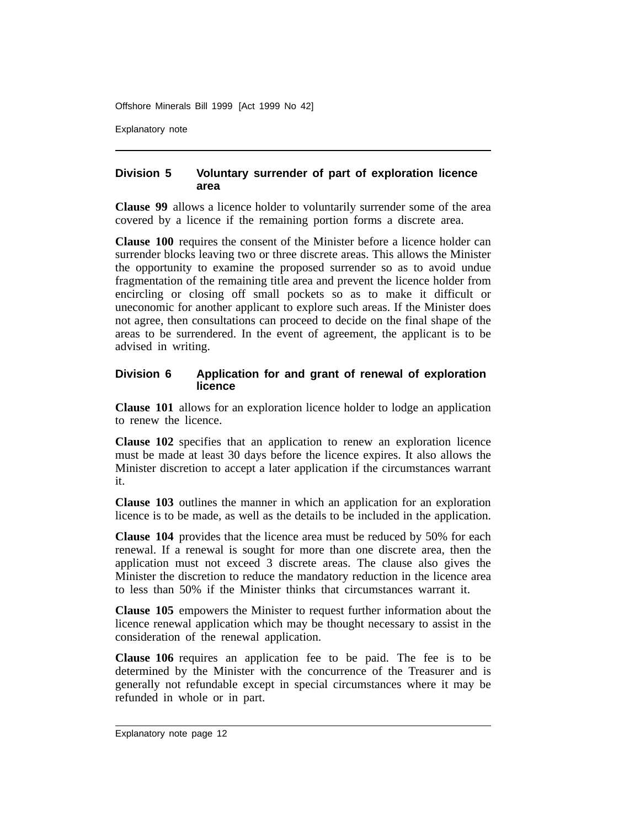Explanatory note

## **Division 5 Voluntary surrender of part of exploration licence area**

**Clause 99** allows a licence holder to voluntarily surrender some of the area covered by a licence if the remaining portion forms a discrete area.

**Clause 100** requires the consent of the Minister before a licence holder can surrender blocks leaving two or three discrete areas. This allows the Minister the opportunity to examine the proposed surrender so as to avoid undue fragmentation of the remaining title area and prevent the licence holder from encircling or closing off small pockets so as to make it difficult or uneconomic for another applicant to explore such areas. If the Minister does not agree, then consultations can proceed to decide on the final shape of the areas to be surrendered. In the event of agreement, the applicant is to be advised in writing.

## **Division 6 Application for and grant of renewal of exploration licence**

**Clause 101** allows for an exploration licence holder to lodge an application to renew the licence.

**Clause 102** specifies that an application to renew an exploration licence must be made at least 30 days before the licence expires. It also allows the Minister discretion to accept a later application if the circumstances warrant it.

**Clause 103** outlines the manner in which an application for an exploration licence is to be made, as well as the details to be included in the application.

**Clause 104** provides that the licence area must be reduced by 50% for each renewal. If a renewal is sought for more than one discrete area, then the application must not exceed 3 discrete areas. The clause also gives the Minister the discretion to reduce the mandatory reduction in the licence area to less than 50% if the Minister thinks that circumstances warrant it.

**Clause 105** empowers the Minister to request further information about the licence renewal application which may be thought necessary to assist in the consideration of the renewal application.

**Clause 106** requires an application fee to be paid. The fee is to be determined by the Minister with the concurrence of the Treasurer and is generally not refundable except in special circumstances where it may be refunded in whole or in part.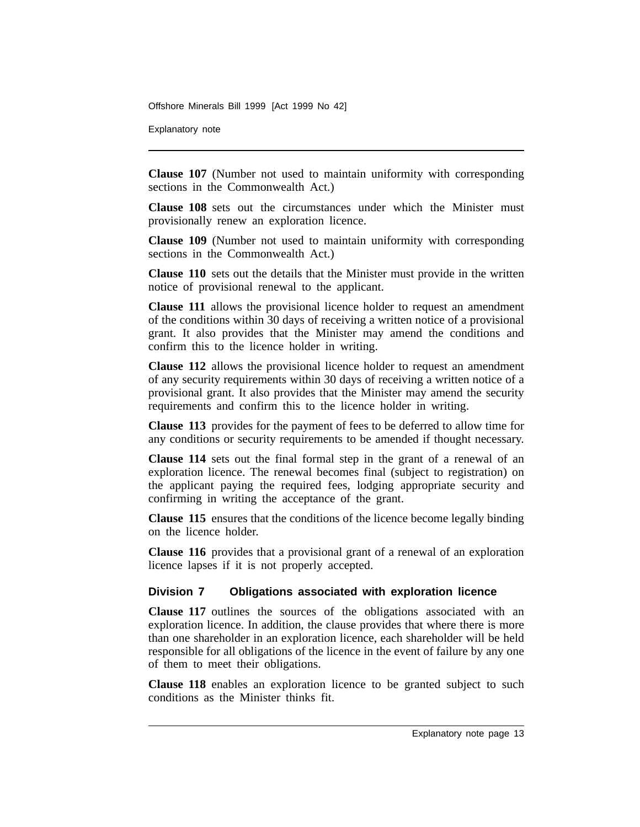Explanatory note

**Clause 107** (Number not used to maintain uniformity with corresponding sections in the Commonwealth Act.)

**Clause 108** sets out the circumstances under which the Minister must provisionally renew an exploration licence.

**Clause 109** (Number not used to maintain uniformity with corresponding sections in the Commonwealth Act.)

**Clause 110** sets out the details that the Minister must provide in the written notice of provisional renewal to the applicant.

**Clause 111** allows the provisional licence holder to request an amendment of the conditions within 30 days of receiving a written notice of a provisional grant. It also provides that the Minister may amend the conditions and confirm this to the licence holder in writing.

**Clause 112** allows the provisional licence holder to request an amendment of any security requirements within 30 days of receiving a written notice of a provisional grant. It also provides that the Minister may amend the security requirements and confirm this to the licence holder in writing.

**Clause 113** provides for the payment of fees to be deferred to allow time for any conditions or security requirements to be amended if thought necessary.

**Clause 114** sets out the final formal step in the grant of a renewal of an exploration licence. The renewal becomes final (subject to registration) on the applicant paying the required fees, lodging appropriate security and confirming in writing the acceptance of the grant.

**Clause 115** ensures that the conditions of the licence become legally binding on the licence holder.

**Clause 116** provides that a provisional grant of a renewal of an exploration licence lapses if it is not properly accepted.

## **Division 7 Obligations associated with exploration licence**

**Clause 117** outlines the sources of the obligations associated with an exploration licence. In addition, the clause provides that where there is more than one shareholder in an exploration licence, each shareholder will be held responsible for all obligations of the licence in the event of failure by any one of them to meet their obligations.

**Clause 118** enables an exploration licence to be granted subject to such conditions as the Minister thinks fit.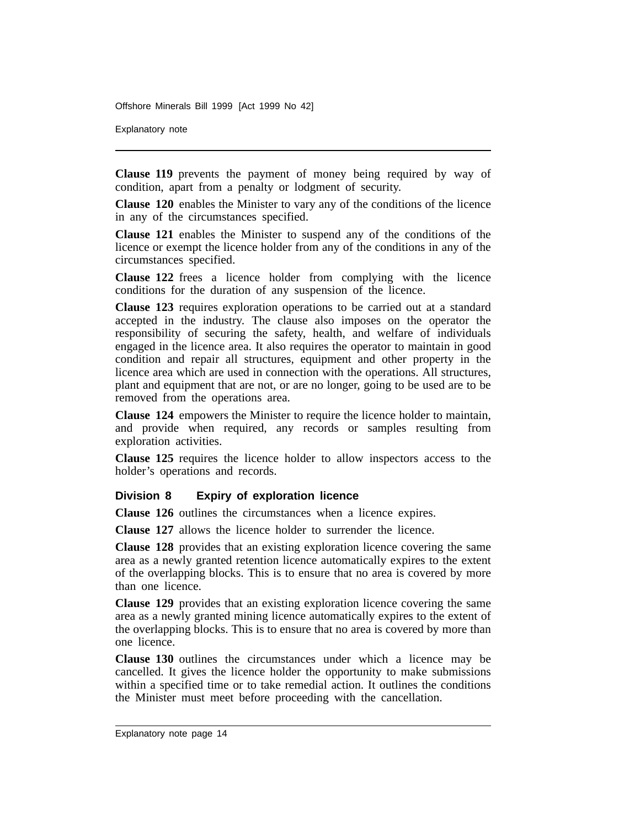Explanatory note

**Clause 119** prevents the payment of money being required by way of condition, apart from a penalty or lodgment of security.

**Clause 120** enables the Minister to vary any of the conditions of the licence in any of the circumstances specified.

**Clause 121** enables the Minister to suspend any of the conditions of the licence or exempt the licence holder from any of the conditions in any of the circumstances specified.

**Clause 122** frees a licence holder from complying with the licence conditions for the duration of any suspension of the licence.

**Clause 123** requires exploration operations to be carried out at a standard accepted in the industry. The clause also imposes on the operator the responsibility of securing the safety, health, and welfare of individuals engaged in the licence area. It also requires the operator to maintain in good condition and repair all structures, equipment and other property in the licence area which are used in connection with the operations. All structures, plant and equipment that are not, or are no longer, going to be used are to be removed from the operations area.

**Clause 124** empowers the Minister to require the licence holder to maintain, and provide when required, any records or samples resulting from exploration activities.

**Clause 125** requires the licence holder to allow inspectors access to the holder's operations and records.

#### **Division 8 Expiry of exploration licence**

**Clause 126** outlines the circumstances when a licence expires.

**Clause 127** allows the licence holder to surrender the licence.

**Clause 128** provides that an existing exploration licence covering the same area as a newly granted retention licence automatically expires to the extent of the overlapping blocks. This is to ensure that no area is covered by more than one licence.

**Clause 129** provides that an existing exploration licence covering the same area as a newly granted mining licence automatically expires to the extent of the overlapping blocks. This is to ensure that no area is covered by more than one licence.

**Clause 130** outlines the circumstances under which a licence may be cancelled. It gives the licence holder the opportunity to make submissions within a specified time or to take remedial action. It outlines the conditions the Minister must meet before proceeding with the cancellation.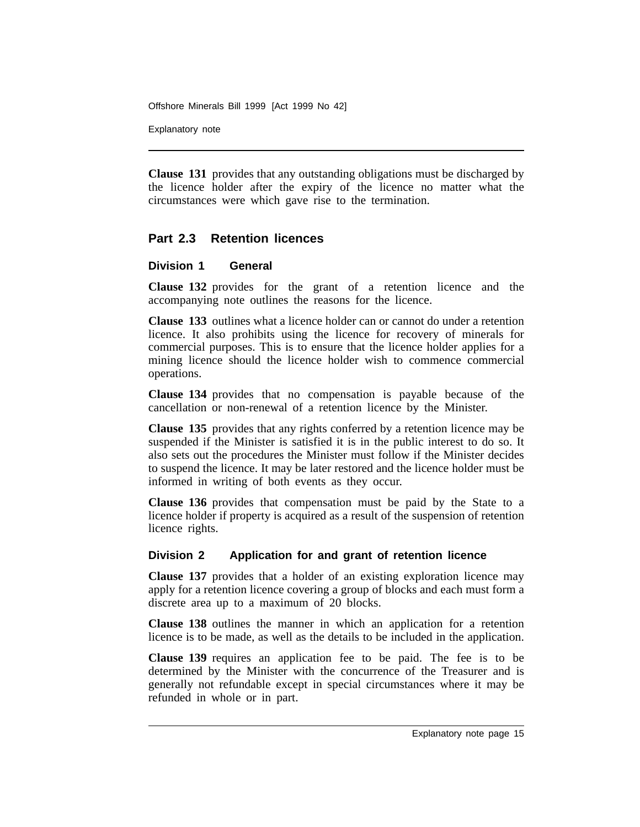Explanatory note

**Clause 131** provides that any outstanding obligations must be discharged by the licence holder after the expiry of the licence no matter what the circumstances were which gave rise to the termination.

## **Part 2.3 Retention licences**

## **Division 1 General**

**Clause 132** provides for the grant of a retention licence and the accompanying note outlines the reasons for the licence.

**Clause 133** outlines what a licence holder can or cannot do under a retention licence. It also prohibits using the licence for recovery of minerals for commercial purposes. This is to ensure that the licence holder applies for a mining licence should the licence holder wish to commence commercial operations.

**Clause 134** provides that no compensation is payable because of the cancellation or non-renewal of a retention licence by the Minister.

**Clause 135** provides that any rights conferred by a retention licence may be suspended if the Minister is satisfied it is in the public interest to do so. It also sets out the procedures the Minister must follow if the Minister decides to suspend the licence. It may be later restored and the licence holder must be informed in writing of both events as they occur.

**Clause 136** provides that compensation must be paid by the State to a licence holder if property is acquired as a result of the suspension of retention licence rights.

## **Division 2 Application for and grant of retention licence**

**Clause 137** provides that a holder of an existing exploration licence may apply for a retention licence covering a group of blocks and each must form a discrete area up to a maximum of 20 blocks.

**Clause 138** outlines the manner in which an application for a retention licence is to be made, as well as the details to be included in the application.

**Clause 139** requires an application fee to be paid. The fee is to be determined by the Minister with the concurrence of the Treasurer and is generally not refundable except in special circumstances where it may be refunded in whole or in part.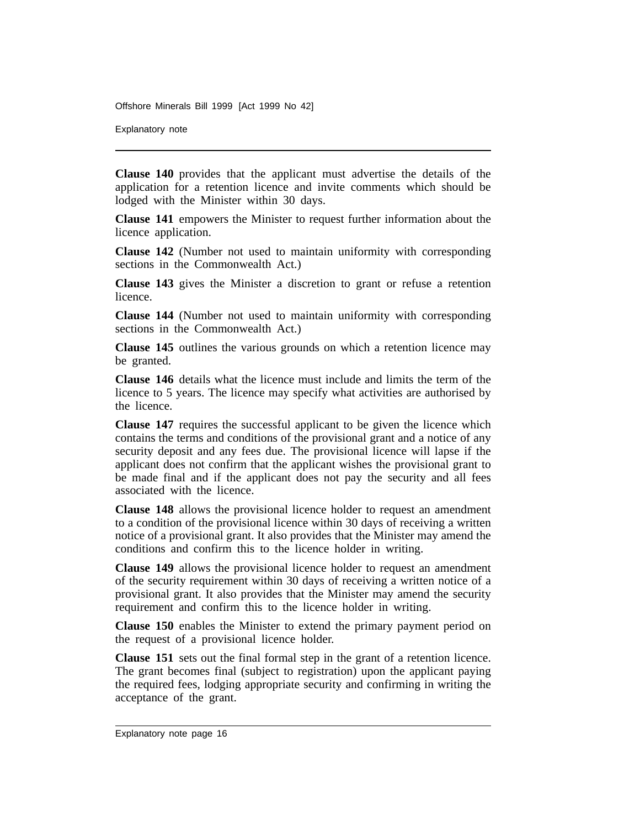Explanatory note

**Clause 140** provides that the applicant must advertise the details of the application for a retention licence and invite comments which should be lodged with the Minister within 30 days.

**Clause 141** empowers the Minister to request further information about the licence application.

**Clause 142** (Number not used to maintain uniformity with corresponding sections in the Commonwealth Act.)

**Clause 143** gives the Minister a discretion to grant or refuse a retention licence.

**Clause 144** (Number not used to maintain uniformity with corresponding sections in the Commonwealth Act.)

**Clause 145** outlines the various grounds on which a retention licence may be granted.

**Clause 146** details what the licence must include and limits the term of the licence to 5 years. The licence may specify what activities are authorised by the licence.

**Clause 147** requires the successful applicant to be given the licence which contains the terms and conditions of the provisional grant and a notice of any security deposit and any fees due. The provisional licence will lapse if the applicant does not confirm that the applicant wishes the provisional grant to be made final and if the applicant does not pay the security and all fees associated with the licence.

**Clause 148** allows the provisional licence holder to request an amendment to a condition of the provisional licence within 30 days of receiving a written notice of a provisional grant. It also provides that the Minister may amend the conditions and confirm this to the licence holder in writing.

**Clause 149** allows the provisional licence holder to request an amendment of the security requirement within 30 days of receiving a written notice of a provisional grant. It also provides that the Minister may amend the security requirement and confirm this to the licence holder in writing.

**Clause 150** enables the Minister to extend the primary payment period on the request of a provisional licence holder.

**Clause 151** sets out the final formal step in the grant of a retention licence. The grant becomes final (subject to registration) upon the applicant paying the required fees, lodging appropriate security and confirming in writing the acceptance of the grant.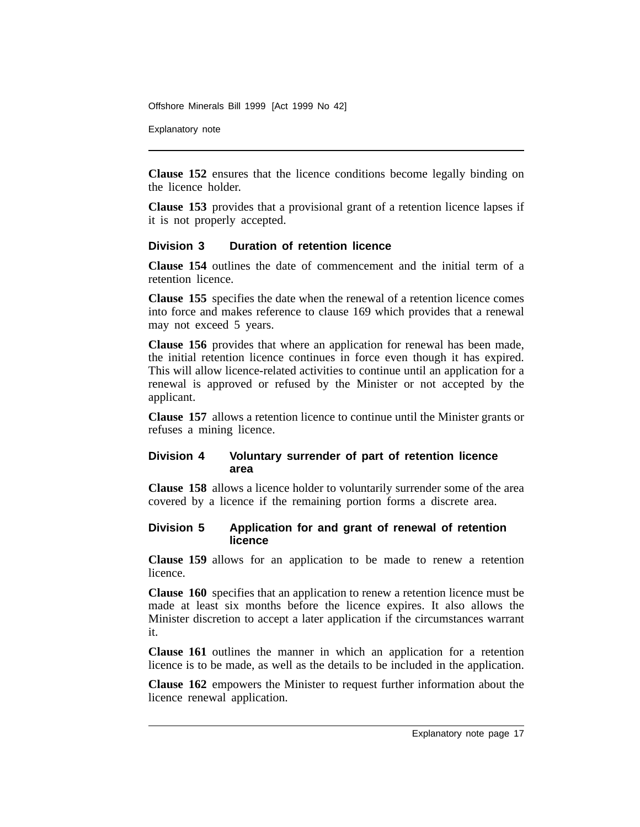Explanatory note

**Clause 152** ensures that the licence conditions become legally binding on the licence holder.

**Clause 153** provides that a provisional grant of a retention licence lapses if it is not properly accepted.

## **Division 3 Duration of retention licence**

**Clause 154** outlines the date of commencement and the initial term of a retention licence.

**Clause 155** specifies the date when the renewal of a retention licence comes into force and makes reference to clause 169 which provides that a renewal may not exceed 5 years.

**Clause 156** provides that where an application for renewal has been made, the initial retention licence continues in force even though it has expired. This will allow licence-related activities to continue until an application for a renewal is approved or refused by the Minister or not accepted by the applicant.

**Clause 157** allows a retention licence to continue until the Minister grants or refuses a mining licence.

## **Division 4 Voluntary surrender of part of retention licence area**

**Clause 158** allows a licence holder to voluntarily surrender some of the area covered by a licence if the remaining portion forms a discrete area.

## **Division 5 Application for and grant of renewal of retention licence**

**Clause 159** allows for an application to be made to renew a retention licence.

**Clause 160** specifies that an application to renew a retention licence must be made at least six months before the licence expires. It also allows the Minister discretion to accept a later application if the circumstances warrant it.

**Clause 161** outlines the manner in which an application for a retention licence is to be made, as well as the details to be included in the application.

**Clause 162** empowers the Minister to request further information about the licence renewal application.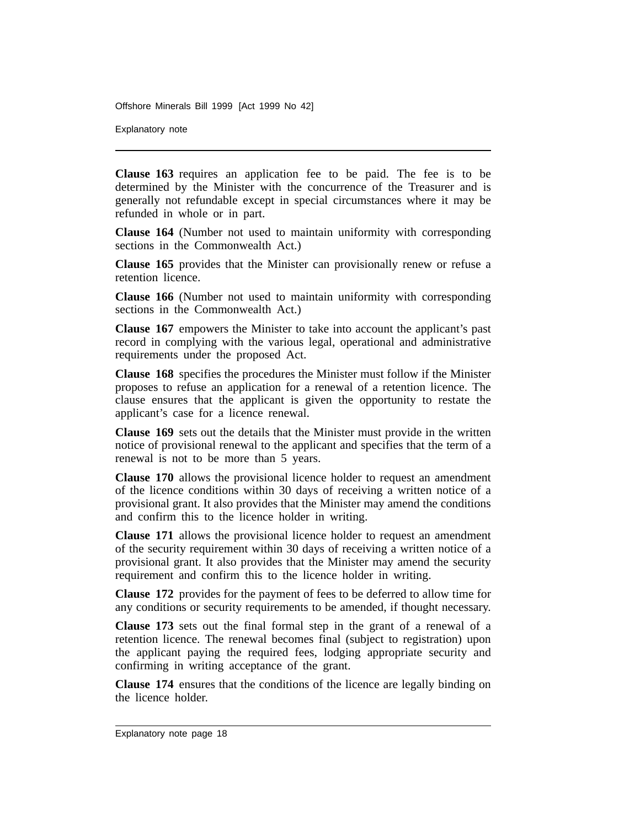Explanatory note

**Clause 163** requires an application fee to be paid. The fee is to be determined by the Minister with the concurrence of the Treasurer and is generally not refundable except in special circumstances where it may be refunded in whole or in part.

**Clause 164** (Number not used to maintain uniformity with corresponding sections in the Commonwealth Act.)

**Clause 165** provides that the Minister can provisionally renew or refuse a retention licence.

**Clause 166** (Number not used to maintain uniformity with corresponding sections in the Commonwealth Act.)

**Clause 167** empowers the Minister to take into account the applicant's past record in complying with the various legal, operational and administrative requirements under the proposed Act.

**Clause 168** specifies the procedures the Minister must follow if the Minister proposes to refuse an application for a renewal of a retention licence. The clause ensures that the applicant is given the opportunity to restate the applicant's case for a licence renewal.

**Clause 169** sets out the details that the Minister must provide in the written notice of provisional renewal to the applicant and specifies that the term of a renewal is not to be more than 5 years.

**Clause 170** allows the provisional licence holder to request an amendment of the licence conditions within 30 days of receiving a written notice of a provisional grant. It also provides that the Minister may amend the conditions and confirm this to the licence holder in writing.

**Clause 171** allows the provisional licence holder to request an amendment of the security requirement within 30 days of receiving a written notice of a provisional grant. It also provides that the Minister may amend the security requirement and confirm this to the licence holder in writing.

**Clause 172** provides for the payment of fees to be deferred to allow time for any conditions or security requirements to be amended, if thought necessary.

**Clause 173** sets out the final formal step in the grant of a renewal of a retention licence. The renewal becomes final (subject to registration) upon the applicant paying the required fees, lodging appropriate security and confirming in writing acceptance of the grant.

**Clause 174** ensures that the conditions of the licence are legally binding on the licence holder.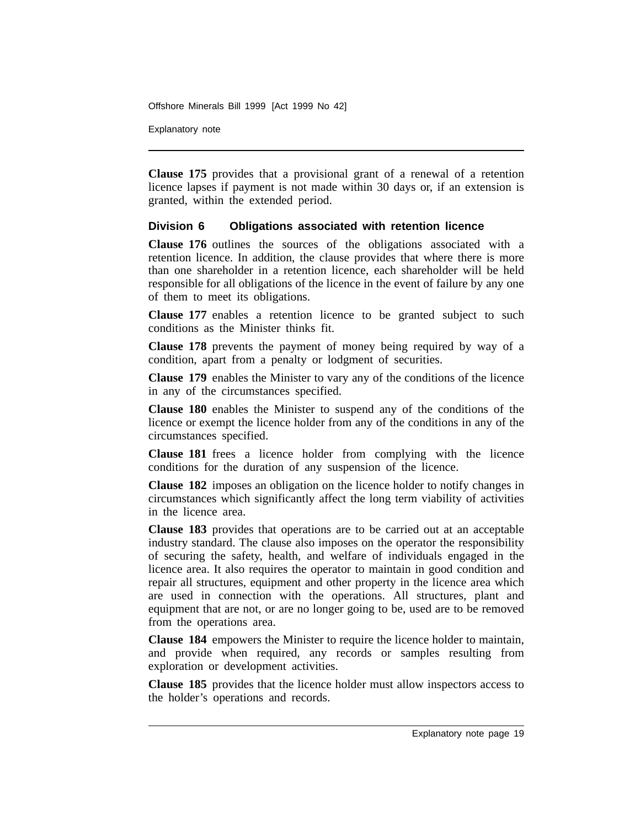Explanatory note

**Clause 175** provides that a provisional grant of a renewal of a retention licence lapses if payment is not made within 30 days or, if an extension is granted, within the extended period.

## **Division 6 Obligations associated with retention licence**

**Clause 176** outlines the sources of the obligations associated with a retention licence. In addition, the clause provides that where there is more than one shareholder in a retention licence, each shareholder will be held responsible for all obligations of the licence in the event of failure by any one of them to meet its obligations.

**Clause 177** enables a retention licence to be granted subject to such conditions as the Minister thinks fit.

**Clause 178** prevents the payment of money being required by way of a condition, apart from a penalty or lodgment of securities.

**Clause 179** enables the Minister to vary any of the conditions of the licence in any of the circumstances specified.

**Clause 180** enables the Minister to suspend any of the conditions of the licence or exempt the licence holder from any of the conditions in any of the circumstances specified.

**Clause 181** frees a licence holder from complying with the licence conditions for the duration of any suspension of the licence.

**Clause 182** imposes an obligation on the licence holder to notify changes in circumstances which significantly affect the long term viability of activities in the licence area.

**Clause 183** provides that operations are to be carried out at an acceptable industry standard. The clause also imposes on the operator the responsibility of securing the safety, health, and welfare of individuals engaged in the licence area. It also requires the operator to maintain in good condition and repair all structures, equipment and other property in the licence area which are used in connection with the operations. All structures, plant and equipment that are not, or are no longer going to be, used are to be removed from the operations area.

**Clause 184** empowers the Minister to require the licence holder to maintain, and provide when required, any records or samples resulting from exploration or development activities.

**Clause 185** provides that the licence holder must allow inspectors access to the holder's operations and records.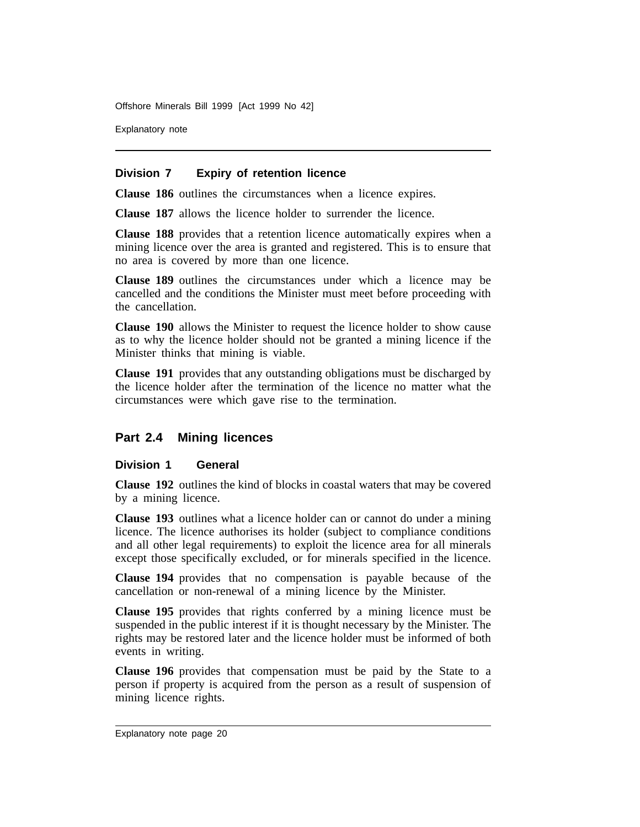Explanatory note

#### **Division 7 Expiry of retention licence**

**Clause 186** outlines the circumstances when a licence expires.

**Clause 187** allows the licence holder to surrender the licence.

**Clause 188** provides that a retention licence automatically expires when a mining licence over the area is granted and registered. This is to ensure that no area is covered by more than one licence.

**Clause 189** outlines the circumstances under which a licence may be cancelled and the conditions the Minister must meet before proceeding with the cancellation.

**Clause 190** allows the Minister to request the licence holder to show cause as to why the licence holder should not be granted a mining licence if the Minister thinks that mining is viable.

**Clause 191** provides that any outstanding obligations must be discharged by the licence holder after the termination of the licence no matter what the circumstances were which gave rise to the termination.

## **Part 2.4 Mining licences**

#### **Division 1 General**

**Clause 192** outlines the kind of blocks in coastal waters that may be covered by a mining licence.

**Clause 193** outlines what a licence holder can or cannot do under a mining licence. The licence authorises its holder (subject to compliance conditions and all other legal requirements) to exploit the licence area for all minerals except those specifically excluded, or for minerals specified in the licence.

**Clause 194** provides that no compensation is payable because of the cancellation or non-renewal of a mining licence by the Minister.

**Clause 195** provides that rights conferred by a mining licence must be suspended in the public interest if it is thought necessary by the Minister. The rights may be restored later and the licence holder must be informed of both events in writing.

**Clause 196** provides that compensation must be paid by the State to a person if property is acquired from the person as a result of suspension of mining licence rights.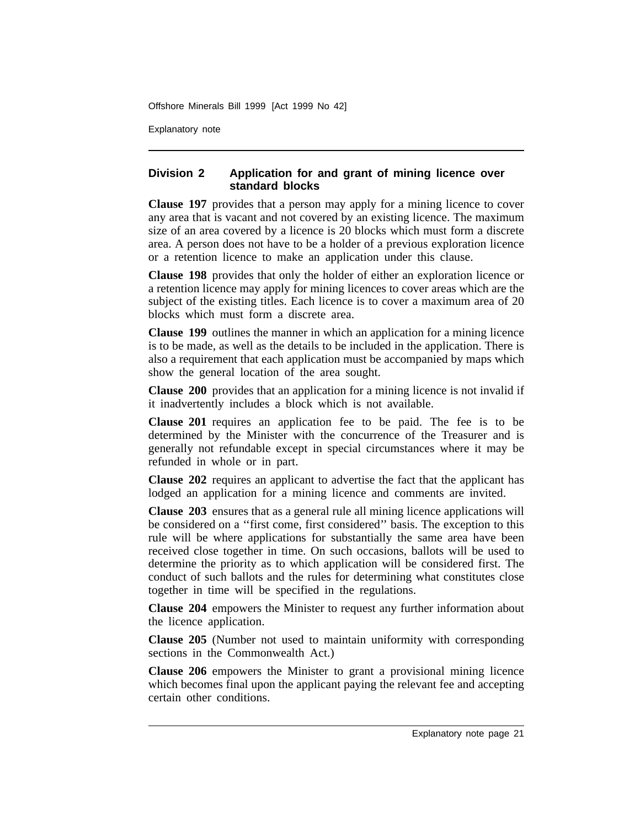Explanatory note

## **Division 2 Application for and grant of mining licence over standard blocks**

**Clause 197** provides that a person may apply for a mining licence to cover any area that is vacant and not covered by an existing licence. The maximum size of an area covered by a licence is 20 blocks which must form a discrete area. A person does not have to be a holder of a previous exploration licence or a retention licence to make an application under this clause.

**Clause 198** provides that only the holder of either an exploration licence or a retention licence may apply for mining licences to cover areas which are the subject of the existing titles. Each licence is to cover a maximum area of 20 blocks which must form a discrete area.

**Clause 199** outlines the manner in which an application for a mining licence is to be made, as well as the details to be included in the application. There is also a requirement that each application must be accompanied by maps which show the general location of the area sought.

**Clause 200** provides that an application for a mining licence is not invalid if it inadvertently includes a block which is not available.

**Clause 201** requires an application fee to be paid. The fee is to be determined by the Minister with the concurrence of the Treasurer and is generally not refundable except in special circumstances where it may be refunded in whole or in part.

**Clause 202** requires an applicant to advertise the fact that the applicant has lodged an application for a mining licence and comments are invited.

**Clause 203** ensures that as a general rule all mining licence applications will be considered on a ''first come, first considered'' basis. The exception to this rule will be where applications for substantially the same area have been received close together in time. On such occasions, ballots will be used to determine the priority as to which application will be considered first. The conduct of such ballots and the rules for determining what constitutes close together in time will be specified in the regulations.

**Clause 204** empowers the Minister to request any further information about the licence application.

**Clause 205** (Number not used to maintain uniformity with corresponding sections in the Commonwealth Act.)

**Clause 206** empowers the Minister to grant a provisional mining licence which becomes final upon the applicant paying the relevant fee and accepting certain other conditions.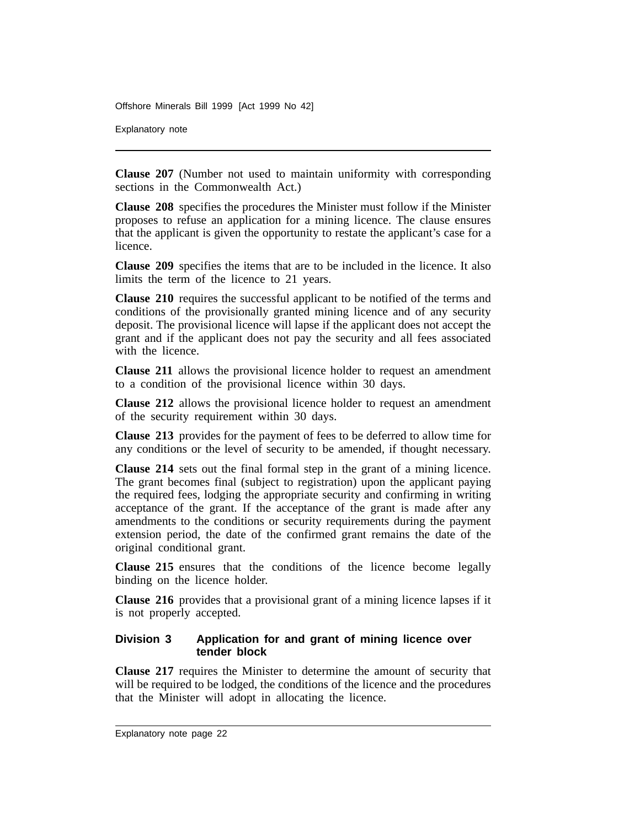Explanatory note

**Clause 207** (Number not used to maintain uniformity with corresponding sections in the Commonwealth Act.)

**Clause 208** specifies the procedures the Minister must follow if the Minister proposes to refuse an application for a mining licence. The clause ensures that the applicant is given the opportunity to restate the applicant's case for a licence.

**Clause 209** specifies the items that are to be included in the licence. It also limits the term of the licence to 21 years.

**Clause 210** requires the successful applicant to be notified of the terms and conditions of the provisionally granted mining licence and of any security deposit. The provisional licence will lapse if the applicant does not accept the grant and if the applicant does not pay the security and all fees associated with the licence.

**Clause 211** allows the provisional licence holder to request an amendment to a condition of the provisional licence within 30 days.

**Clause 212** allows the provisional licence holder to request an amendment of the security requirement within 30 days.

**Clause 213** provides for the payment of fees to be deferred to allow time for any conditions or the level of security to be amended, if thought necessary.

**Clause 214** sets out the final formal step in the grant of a mining licence. The grant becomes final (subject to registration) upon the applicant paying the required fees, lodging the appropriate security and confirming in writing acceptance of the grant. If the acceptance of the grant is made after any amendments to the conditions or security requirements during the payment extension period, the date of the confirmed grant remains the date of the original conditional grant.

**Clause 215** ensures that the conditions of the licence become legally binding on the licence holder.

**Clause 216** provides that a provisional grant of a mining licence lapses if it is not properly accepted.

### **Division 3 Application for and grant of mining licence over tender block**

**Clause 217** requires the Minister to determine the amount of security that will be required to be lodged, the conditions of the licence and the procedures that the Minister will adopt in allocating the licence.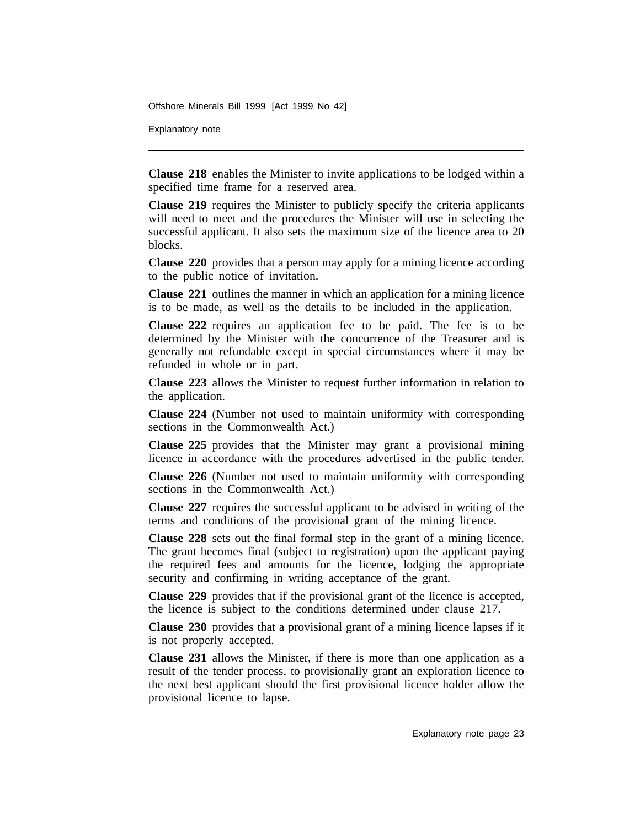Explanatory note

**Clause 218** enables the Minister to invite applications to be lodged within a specified time frame for a reserved area.

**Clause 219** requires the Minister to publicly specify the criteria applicants will need to meet and the procedures the Minister will use in selecting the successful applicant. It also sets the maximum size of the licence area to 20 blocks.

**Clause 220** provides that a person may apply for a mining licence according to the public notice of invitation.

**Clause 221** outlines the manner in which an application for a mining licence is to be made, as well as the details to be included in the application.

**Clause 222** requires an application fee to be paid. The fee is to be determined by the Minister with the concurrence of the Treasurer and is generally not refundable except in special circumstances where it may be refunded in whole or in part.

**Clause 223** allows the Minister to request further information in relation to the application.

**Clause 224** (Number not used to maintain uniformity with corresponding sections in the Commonwealth Act.)

**Clause 225** provides that the Minister may grant a provisional mining licence in accordance with the procedures advertised in the public tender.

**Clause 226** (Number not used to maintain uniformity with corresponding sections in the Commonwealth Act.)

**Clause 227** requires the successful applicant to be advised in writing of the terms and conditions of the provisional grant of the mining licence.

**Clause 228** sets out the final formal step in the grant of a mining licence. The grant becomes final (subject to registration) upon the applicant paying the required fees and amounts for the licence, lodging the appropriate security and confirming in writing acceptance of the grant.

**Clause 229** provides that if the provisional grant of the licence is accepted, the licence is subject to the conditions determined under clause 217.

**Clause 230** provides that a provisional grant of a mining licence lapses if it is not properly accepted.

**Clause 231** allows the Minister, if there is more than one application as a result of the tender process, to provisionally grant an exploration licence to the next best applicant should the first provisional licence holder allow the provisional licence to lapse.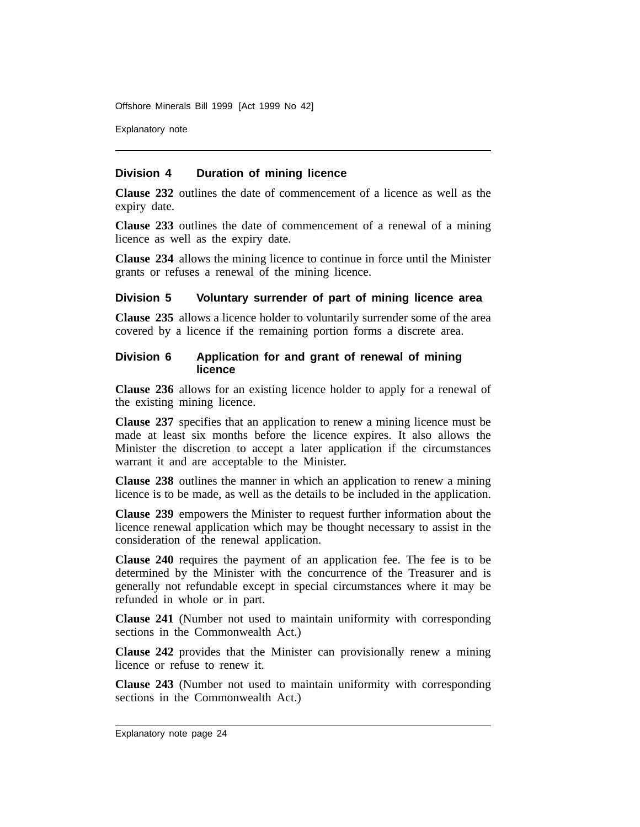Explanatory note

#### **Division 4 Duration of mining licence**

**Clause 232** outlines the date of commencement of a licence as well as the expiry date.

**Clause 233** outlines the date of commencement of a renewal of a mining licence as well as the expiry date.

**Clause 234** allows the mining licence to continue in force until the Minister grants or refuses a renewal of the mining licence.

### **Division 5 Voluntary surrender of part of mining licence area**

**Clause 235** allows a licence holder to voluntarily surrender some of the area covered by a licence if the remaining portion forms a discrete area.

#### **Division 6 Application for and grant of renewal of mining licence**

**Clause 236** allows for an existing licence holder to apply for a renewal of the existing mining licence.

**Clause 237** specifies that an application to renew a mining licence must be made at least six months before the licence expires. It also allows the Minister the discretion to accept a later application if the circumstances warrant it and are acceptable to the Minister.

**Clause 238** outlines the manner in which an application to renew a mining licence is to be made, as well as the details to be included in the application.

**Clause 239** empowers the Minister to request further information about the licence renewal application which may be thought necessary to assist in the consideration of the renewal application.

**Clause 240** requires the payment of an application fee. The fee is to be determined by the Minister with the concurrence of the Treasurer and is generally not refundable except in special circumstances where it may be refunded in whole or in part.

**Clause 241** (Number not used to maintain uniformity with corresponding sections in the Commonwealth Act.)

**Clause 242** provides that the Minister can provisionally renew a mining licence or refuse to renew it.

**Clause 243** (Number not used to maintain uniformity with corresponding sections in the Commonwealth Act.)

Explanatory note page 24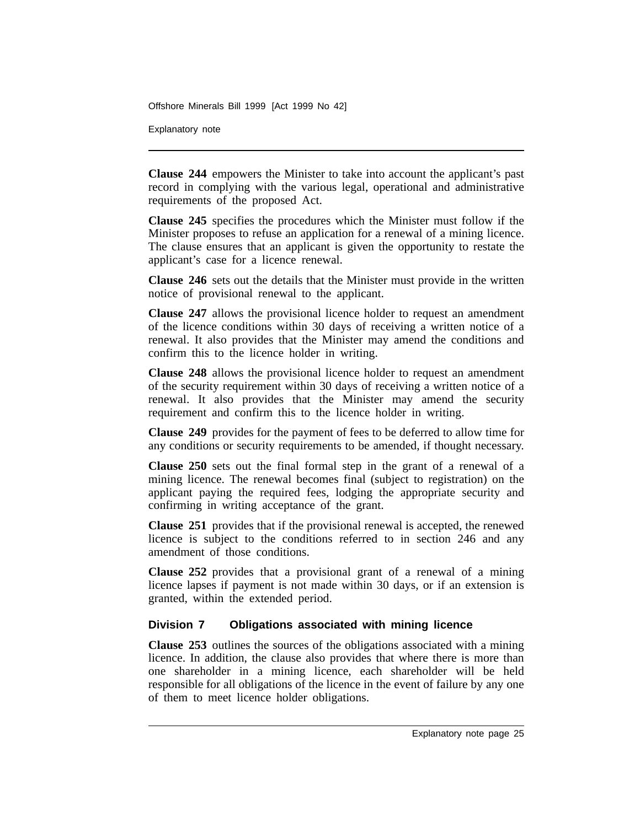Explanatory note

**Clause 244** empowers the Minister to take into account the applicant's past record in complying with the various legal, operational and administrative requirements of the proposed Act.

**Clause 245** specifies the procedures which the Minister must follow if the Minister proposes to refuse an application for a renewal of a mining licence. The clause ensures that an applicant is given the opportunity to restate the applicant's case for a licence renewal.

**Clause 246** sets out the details that the Minister must provide in the written notice of provisional renewal to the applicant.

**Clause 247** allows the provisional licence holder to request an amendment of the licence conditions within 30 days of receiving a written notice of a renewal. It also provides that the Minister may amend the conditions and confirm this to the licence holder in writing.

**Clause 248** allows the provisional licence holder to request an amendment of the security requirement within 30 days of receiving a written notice of a renewal. It also provides that the Minister may amend the security requirement and confirm this to the licence holder in writing.

**Clause 249** provides for the payment of fees to be deferred to allow time for any conditions or security requirements to be amended, if thought necessary.

**Clause 250** sets out the final formal step in the grant of a renewal of a mining licence. The renewal becomes final (subject to registration) on the applicant paying the required fees, lodging the appropriate security and confirming in writing acceptance of the grant.

**Clause 251** provides that if the provisional renewal is accepted, the renewed licence is subject to the conditions referred to in section 246 and any amendment of those conditions.

**Clause 252** provides that a provisional grant of a renewal of a mining licence lapses if payment is not made within 30 days, or if an extension is granted, within the extended period.

## **Division 7 Obligations associated with mining licence**

**Clause 253** outlines the sources of the obligations associated with a mining licence. In addition, the clause also provides that where there is more than one shareholder in a mining licence, each shareholder will be held responsible for all obligations of the licence in the event of failure by any one of them to meet licence holder obligations.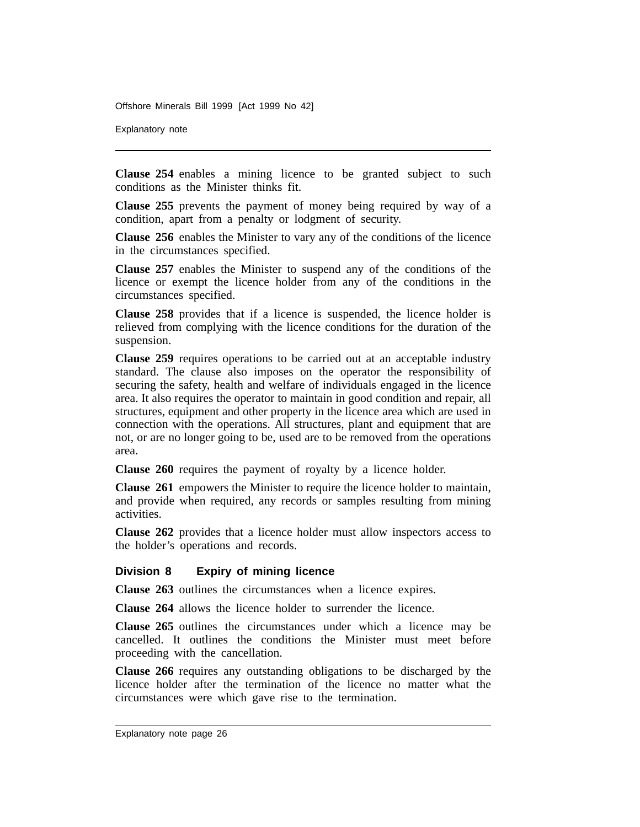Explanatory note

**Clause 254** enables a mining licence to be granted subject to such conditions as the Minister thinks fit.

**Clause 255** prevents the payment of money being required by way of a condition, apart from a penalty or lodgment of security.

**Clause 256** enables the Minister to vary any of the conditions of the licence in the circumstances specified.

**Clause 257** enables the Minister to suspend any of the conditions of the licence or exempt the licence holder from any of the conditions in the circumstances specified.

**Clause 258** provides that if a licence is suspended, the licence holder is relieved from complying with the licence conditions for the duration of the suspension.

**Clause 259** requires operations to be carried out at an acceptable industry standard. The clause also imposes on the operator the responsibility of securing the safety, health and welfare of individuals engaged in the licence area. It also requires the operator to maintain in good condition and repair, all structures, equipment and other property in the licence area which are used in connection with the operations. All structures, plant and equipment that are not, or are no longer going to be, used are to be removed from the operations area.

**Clause 260** requires the payment of royalty by a licence holder.

**Clause 261** empowers the Minister to require the licence holder to maintain, and provide when required, any records or samples resulting from mining activities.

**Clause 262** provides that a licence holder must allow inspectors access to the holder's operations and records.

### **Division 8 Expiry of mining licence**

**Clause 263** outlines the circumstances when a licence expires.

**Clause 264** allows the licence holder to surrender the licence.

**Clause 265** outlines the circumstances under which a licence may be cancelled. It outlines the conditions the Minister must meet before proceeding with the cancellation.

**Clause 266** requires any outstanding obligations to be discharged by the licence holder after the termination of the licence no matter what the circumstances were which gave rise to the termination.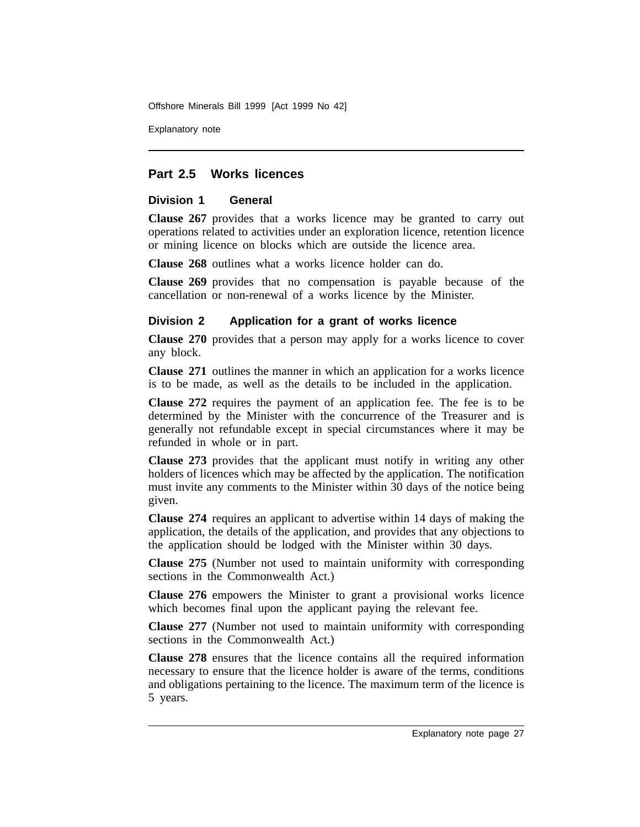Explanatory note

## **Part 2.5 Works licences**

## **Division 1 General**

**Clause 267** provides that a works licence may be granted to carry out operations related to activities under an exploration licence, retention licence or mining licence on blocks which are outside the licence area.

**Clause 268** outlines what a works licence holder can do.

**Clause 269** provides that no compensation is payable because of the cancellation or non-renewal of a works licence by the Minister.

## **Division 2 Application for a grant of works licence**

**Clause 270** provides that a person may apply for a works licence to cover any block.

**Clause 271** outlines the manner in which an application for a works licence is to be made, as well as the details to be included in the application.

**Clause 272** requires the payment of an application fee. The fee is to be determined by the Minister with the concurrence of the Treasurer and is generally not refundable except in special circumstances where it may be refunded in whole or in part.

**Clause 273** provides that the applicant must notify in writing any other holders of licences which may be affected by the application. The notification must invite any comments to the Minister within 30 days of the notice being given.

**Clause 274** requires an applicant to advertise within 14 days of making the application, the details of the application, and provides that any objections to the application should be lodged with the Minister within 30 days.

**Clause 275** (Number not used to maintain uniformity with corresponding sections in the Commonwealth Act.)

**Clause 276** empowers the Minister to grant a provisional works licence which becomes final upon the applicant paying the relevant fee.

**Clause 277** (Number not used to maintain uniformity with corresponding sections in the Commonwealth Act.)

**Clause 278** ensures that the licence contains all the required information necessary to ensure that the licence holder is aware of the terms, conditions and obligations pertaining to the licence. The maximum term of the licence is 5 years.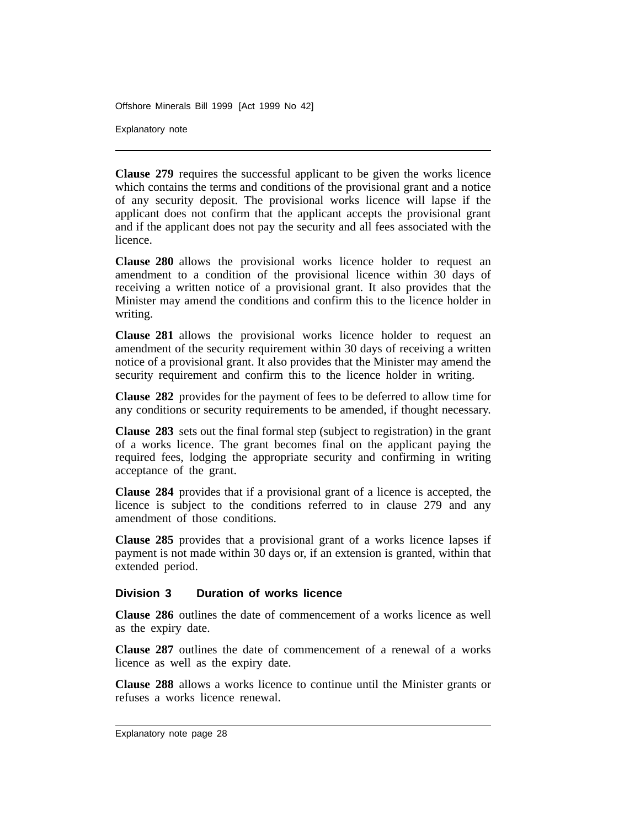Explanatory note

**Clause 279** requires the successful applicant to be given the works licence which contains the terms and conditions of the provisional grant and a notice of any security deposit. The provisional works licence will lapse if the applicant does not confirm that the applicant accepts the provisional grant and if the applicant does not pay the security and all fees associated with the licence.

**Clause 280** allows the provisional works licence holder to request an amendment to a condition of the provisional licence within 30 days of receiving a written notice of a provisional grant. It also provides that the Minister may amend the conditions and confirm this to the licence holder in writing.

**Clause 281** allows the provisional works licence holder to request an amendment of the security requirement within 30 days of receiving a written notice of a provisional grant. It also provides that the Minister may amend the security requirement and confirm this to the licence holder in writing.

**Clause 282** provides for the payment of fees to be deferred to allow time for any conditions or security requirements to be amended, if thought necessary.

**Clause 283** sets out the final formal step (subject to registration) in the grant of a works licence. The grant becomes final on the applicant paying the required fees, lodging the appropriate security and confirming in writing acceptance of the grant.

**Clause 284** provides that if a provisional grant of a licence is accepted, the licence is subject to the conditions referred to in clause 279 and any amendment of those conditions.

**Clause 285** provides that a provisional grant of a works licence lapses if payment is not made within 30 days or, if an extension is granted, within that extended period.

### **Division 3 Duration of works licence**

**Clause 286** outlines the date of commencement of a works licence as well as the expiry date.

**Clause 287** outlines the date of commencement of a renewal of a works licence as well as the expiry date.

**Clause 288** allows a works licence to continue until the Minister grants or refuses a works licence renewal.

Explanatory note page 28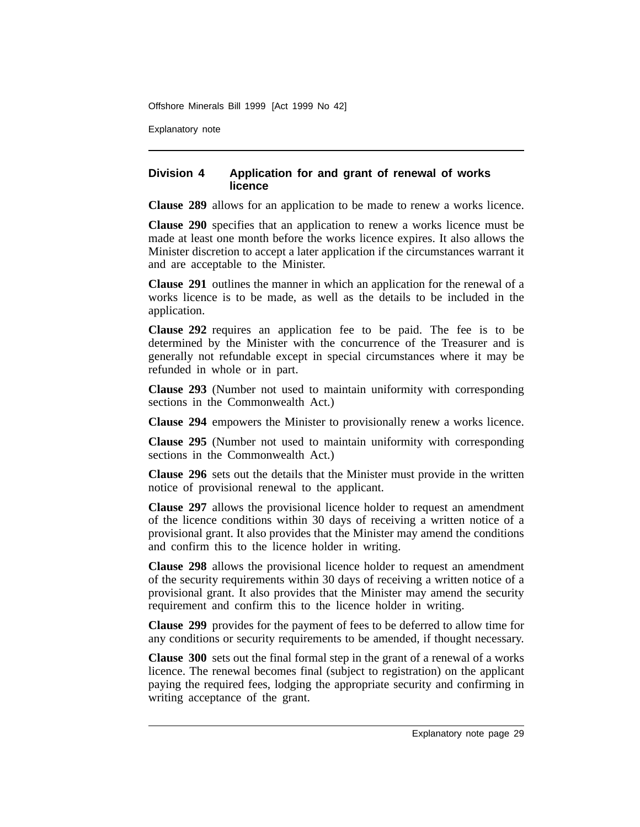Explanatory note

## **Division 4 Application for and grant of renewal of works licence**

**Clause 289** allows for an application to be made to renew a works licence.

**Clause 290** specifies that an application to renew a works licence must be made at least one month before the works licence expires. It also allows the Minister discretion to accept a later application if the circumstances warrant it and are acceptable to the Minister.

**Clause 291** outlines the manner in which an application for the renewal of a works licence is to be made, as well as the details to be included in the application.

**Clause 292** requires an application fee to be paid. The fee is to be determined by the Minister with the concurrence of the Treasurer and is generally not refundable except in special circumstances where it may be refunded in whole or in part.

**Clause 293** (Number not used to maintain uniformity with corresponding sections in the Commonwealth Act.)

**Clause 294** empowers the Minister to provisionally renew a works licence.

**Clause 295** (Number not used to maintain uniformity with corresponding sections in the Commonwealth Act.)

**Clause 296** sets out the details that the Minister must provide in the written notice of provisional renewal to the applicant.

**Clause 297** allows the provisional licence holder to request an amendment of the licence conditions within 30 days of receiving a written notice of a provisional grant. It also provides that the Minister may amend the conditions and confirm this to the licence holder in writing.

**Clause 298** allows the provisional licence holder to request an amendment of the security requirements within 30 days of receiving a written notice of a provisional grant. It also provides that the Minister may amend the security requirement and confirm this to the licence holder in writing.

**Clause 299** provides for the payment of fees to be deferred to allow time for any conditions or security requirements to be amended, if thought necessary.

**Clause 300** sets out the final formal step in the grant of a renewal of a works licence. The renewal becomes final (subject to registration) on the applicant paying the required fees, lodging the appropriate security and confirming in writing acceptance of the grant.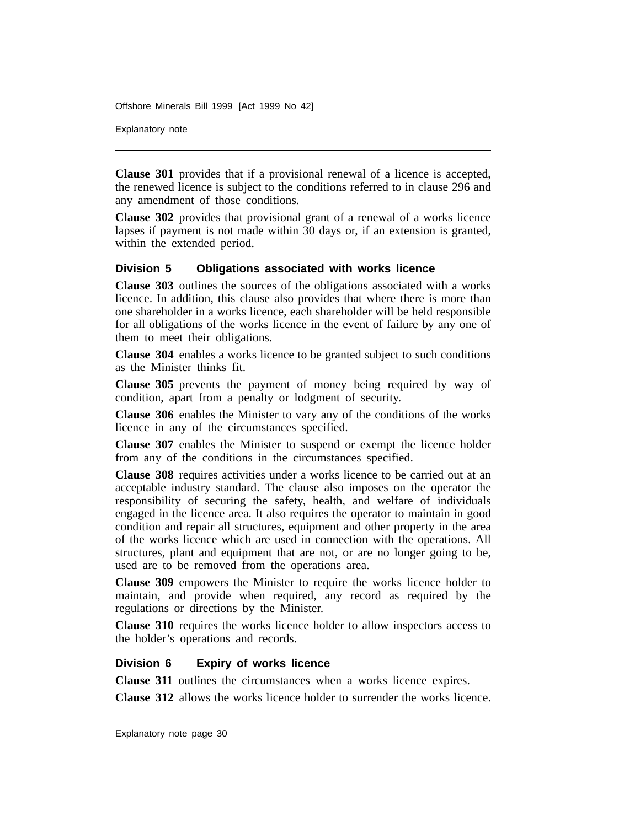Explanatory note

**Clause 301** provides that if a provisional renewal of a licence is accepted, the renewed licence is subject to the conditions referred to in clause 296 and any amendment of those conditions.

**Clause 302** provides that provisional grant of a renewal of a works licence lapses if payment is not made within 30 days or, if an extension is granted, within the extended period.

### **Division 5 Obligations associated with works licence**

**Clause 303** outlines the sources of the obligations associated with a works licence. In addition, this clause also provides that where there is more than one shareholder in a works licence, each shareholder will be held responsible for all obligations of the works licence in the event of failure by any one of them to meet their obligations.

**Clause 304** enables a works licence to be granted subject to such conditions as the Minister thinks fit.

**Clause 305** prevents the payment of money being required by way of condition, apart from a penalty or lodgment of security.

**Clause 306** enables the Minister to vary any of the conditions of the works licence in any of the circumstances specified.

**Clause 307** enables the Minister to suspend or exempt the licence holder from any of the conditions in the circumstances specified.

**Clause 308** requires activities under a works licence to be carried out at an acceptable industry standard. The clause also imposes on the operator the responsibility of securing the safety, health, and welfare of individuals engaged in the licence area. It also requires the operator to maintain in good condition and repair all structures, equipment and other property in the area of the works licence which are used in connection with the operations. All structures, plant and equipment that are not, or are no longer going to be, used are to be removed from the operations area.

**Clause 309** empowers the Minister to require the works licence holder to maintain, and provide when required, any record as required by the regulations or directions by the Minister.

**Clause 310** requires the works licence holder to allow inspectors access to the holder's operations and records.

#### **Division 6 Expiry of works licence**

**Clause 311** outlines the circumstances when a works licence expires.

**Clause 312** allows the works licence holder to surrender the works licence.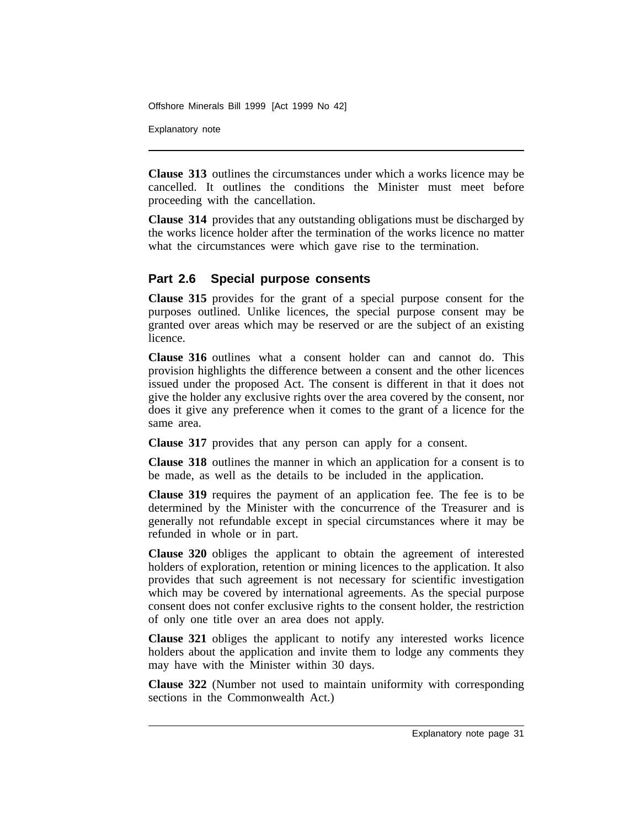Explanatory note

**Clause 313** outlines the circumstances under which a works licence may be cancelled. It outlines the conditions the Minister must meet before proceeding with the cancellation.

**Clause 314** provides that any outstanding obligations must be discharged by the works licence holder after the termination of the works licence no matter what the circumstances were which gave rise to the termination.

## **Part 2.6 Special purpose consents**

**Clause 315** provides for the grant of a special purpose consent for the purposes outlined. Unlike licences, the special purpose consent may be granted over areas which may be reserved or are the subject of an existing licence.

**Clause 316** outlines what a consent holder can and cannot do. This provision highlights the difference between a consent and the other licences issued under the proposed Act. The consent is different in that it does not give the holder any exclusive rights over the area covered by the consent, nor does it give any preference when it comes to the grant of a licence for the same area.

**Clause 317** provides that any person can apply for a consent.

**Clause 318** outlines the manner in which an application for a consent is to be made, as well as the details to be included in the application.

**Clause 319** requires the payment of an application fee. The fee is to be determined by the Minister with the concurrence of the Treasurer and is generally not refundable except in special circumstances where it may be refunded in whole or in part.

**Clause 320** obliges the applicant to obtain the agreement of interested holders of exploration, retention or mining licences to the application. It also provides that such agreement is not necessary for scientific investigation which may be covered by international agreements. As the special purpose consent does not confer exclusive rights to the consent holder, the restriction of only one title over an area does not apply.

**Clause 321** obliges the applicant to notify any interested works licence holders about the application and invite them to lodge any comments they may have with the Minister within 30 days.

**Clause 322** (Number not used to maintain uniformity with corresponding sections in the Commonwealth Act.)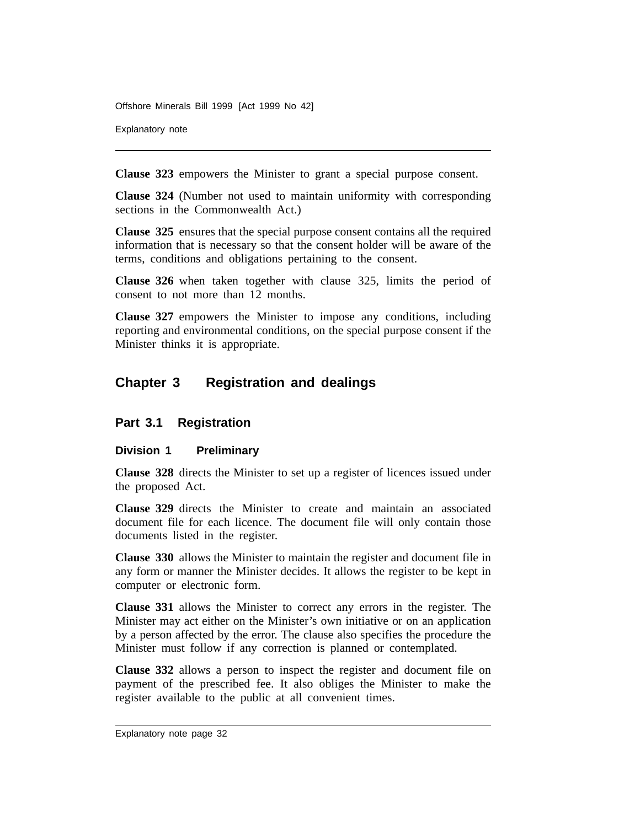Explanatory note

**Clause 323** empowers the Minister to grant a special purpose consent.

**Clause 324** (Number not used to maintain uniformity with corresponding sections in the Commonwealth Act.)

**Clause 325** ensures that the special purpose consent contains all the required information that is necessary so that the consent holder will be aware of the terms, conditions and obligations pertaining to the consent.

**Clause 326** when taken together with clause 325, limits the period of consent to not more than 12 months.

**Clause 327** empowers the Minister to impose any conditions, including reporting and environmental conditions, on the special purpose consent if the Minister thinks it is appropriate.

# **Chapter 3 Registration and dealings**

## **Part 3.1 Registration**

## **Division 1 Preliminary**

**Clause 328** directs the Minister to set up a register of licences issued under the proposed Act.

**Clause 329** directs the Minister to create and maintain an associated document file for each licence. The document file will only contain those documents listed in the register.

**Clause 330** allows the Minister to maintain the register and document file in any form or manner the Minister decides. It allows the register to be kept in computer or electronic form.

**Clause 331** allows the Minister to correct any errors in the register. The Minister may act either on the Minister's own initiative or on an application by a person affected by the error. The clause also specifies the procedure the Minister must follow if any correction is planned or contemplated.

**Clause 332** allows a person to inspect the register and document file on payment of the prescribed fee. It also obliges the Minister to make the register available to the public at all convenient times.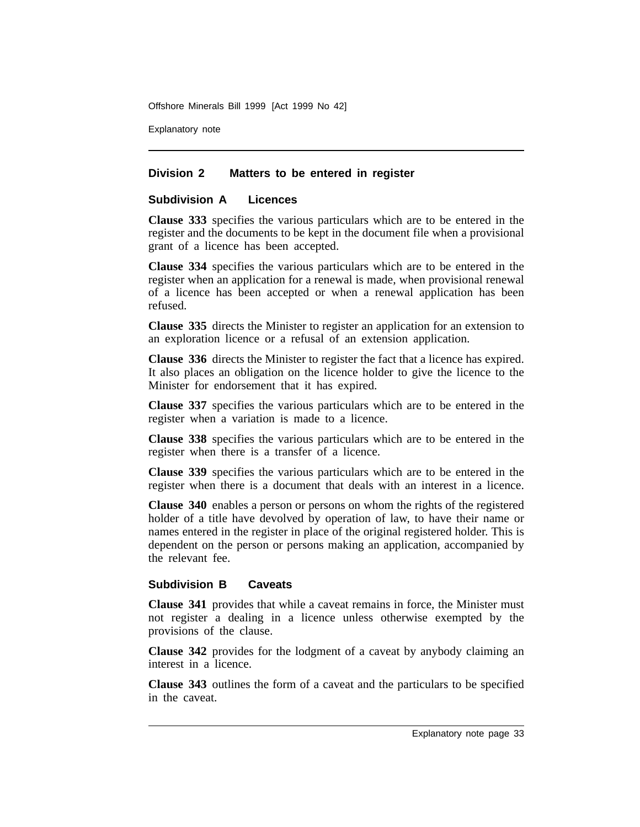Explanatory note

### **Division 2 Matters to be entered in register**

## **Subdivision A Licences**

**Clause 333** specifies the various particulars which are to be entered in the register and the documents to be kept in the document file when a provisional grant of a licence has been accepted.

**Clause 334** specifies the various particulars which are to be entered in the register when an application for a renewal is made, when provisional renewal of a licence has been accepted or when a renewal application has been refused.

**Clause 335** directs the Minister to register an application for an extension to an exploration licence or a refusal of an extension application.

**Clause 336** directs the Minister to register the fact that a licence has expired. It also places an obligation on the licence holder to give the licence to the Minister for endorsement that it has expired.

**Clause 337** specifies the various particulars which are to be entered in the register when a variation is made to a licence.

**Clause 338** specifies the various particulars which are to be entered in the register when there is a transfer of a licence.

**Clause 339** specifies the various particulars which are to be entered in the register when there is a document that deals with an interest in a licence.

**Clause 340** enables a person or persons on whom the rights of the registered holder of a title have devolved by operation of law, to have their name or names entered in the register in place of the original registered holder. This is dependent on the person or persons making an application, accompanied by the relevant fee.

## **Subdivision B Caveats**

**Clause 341** provides that while a caveat remains in force, the Minister must not register a dealing in a licence unless otherwise exempted by the provisions of the clause.

**Clause 342** provides for the lodgment of a caveat by anybody claiming an interest in a licence.

**Clause 343** outlines the form of a caveat and the particulars to be specified in the caveat.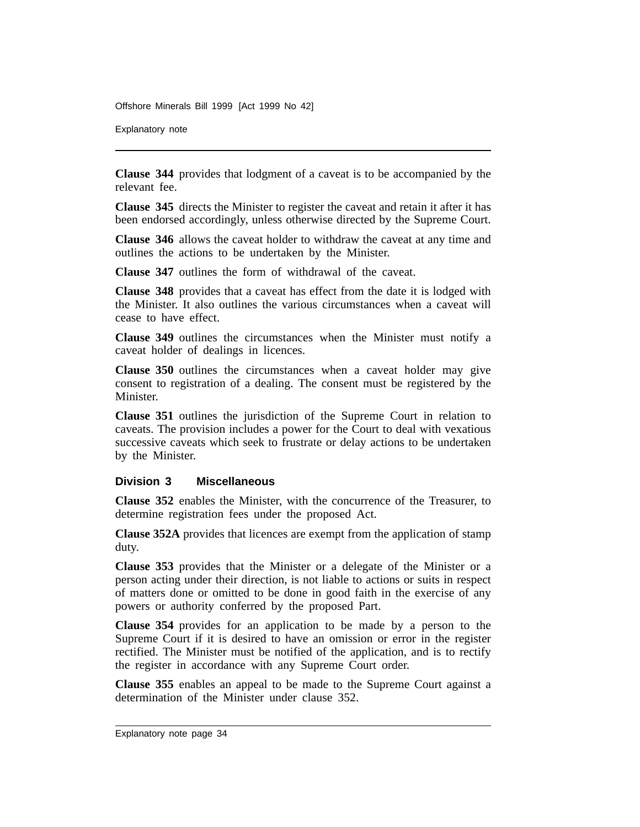Explanatory note

**Clause 344** provides that lodgment of a caveat is to be accompanied by the relevant fee.

**Clause 345** directs the Minister to register the caveat and retain it after it has been endorsed accordingly, unless otherwise directed by the Supreme Court.

**Clause 346** allows the caveat holder to withdraw the caveat at any time and outlines the actions to be undertaken by the Minister.

**Clause 347** outlines the form of withdrawal of the caveat.

**Clause 348** provides that a caveat has effect from the date it is lodged with the Minister. It also outlines the various circumstances when a caveat will cease to have effect.

**Clause 349** outlines the circumstances when the Minister must notify a caveat holder of dealings in licences.

**Clause 350** outlines the circumstances when a caveat holder may give consent to registration of a dealing. The consent must be registered by the Minister.

**Clause 351** outlines the jurisdiction of the Supreme Court in relation to caveats. The provision includes a power for the Court to deal with vexatious successive caveats which seek to frustrate or delay actions to be undertaken by the Minister.

#### **Division 3 Miscellaneous**

**Clause 352** enables the Minister, with the concurrence of the Treasurer, to determine registration fees under the proposed Act.

**Clause 352A** provides that licences are exempt from the application of stamp duty.

**Clause 353** provides that the Minister or a delegate of the Minister or a person acting under their direction, is not liable to actions or suits in respect of matters done or omitted to be done in good faith in the exercise of any powers or authority conferred by the proposed Part.

**Clause 354** provides for an application to be made by a person to the Supreme Court if it is desired to have an omission or error in the register rectified. The Minister must be notified of the application, and is to rectify the register in accordance with any Supreme Court order.

**Clause 355** enables an appeal to be made to the Supreme Court against a determination of the Minister under clause 352.

Explanatory note page 34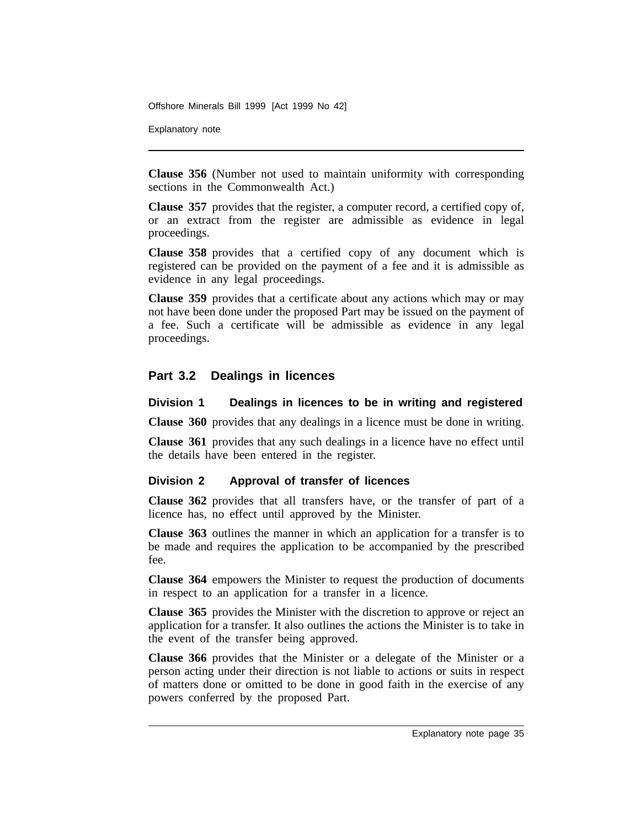Explanatory note

**Clause 356** (Number not used to maintain uniformity with corresponding sections in the Commonwealth Act.)

**Clause 357** provides that the register, a computer record, a certified copy of, or an extract from the register are admissible as evidence in legal proceedings.

**Clause 358** provides that a certified copy of any document which is registered can be provided on the payment of a fee and it is admissible as evidence in any legal proceedings.

**Clause 359** provides that a certificate about any actions which may or may not have been done under the proposed Part may be issued on the payment of a fee. Such a certificate will be admissible as evidence in any legal proceedings.

## **Part 3.2 Dealings in licences**

### **Division 1 Dealings in licences to be in writing and registered**

**Clause 360** provides that any dealings in a licence must be done in writing.

**Clause 361** provides that any such dealings in a licence have no effect until the details have been entered in the register.

### **Division 2 Approval of transfer of licences**

**Clause 362** provides that all transfers have, or the transfer of part of a licence has, no effect until approved by the Minister.

**Clause 363** outlines the manner in which an application for a transfer is to be made and requires the application to be accompanied by the prescribed fee.

**Clause 364** empowers the Minister to request the production of documents in respect to an application for a transfer in a licence.

**Clause 365** provides the Minister with the discretion to approve or reject an application for a transfer. It also outlines the actions the Minister is to take in the event of the transfer being approved.

**Clause 366** provides that the Minister or a delegate of the Minister or a person acting under their direction is not liable to actions or suits in respect of matters done or omitted to be done in good faith in the exercise of any powers conferred by the proposed Part.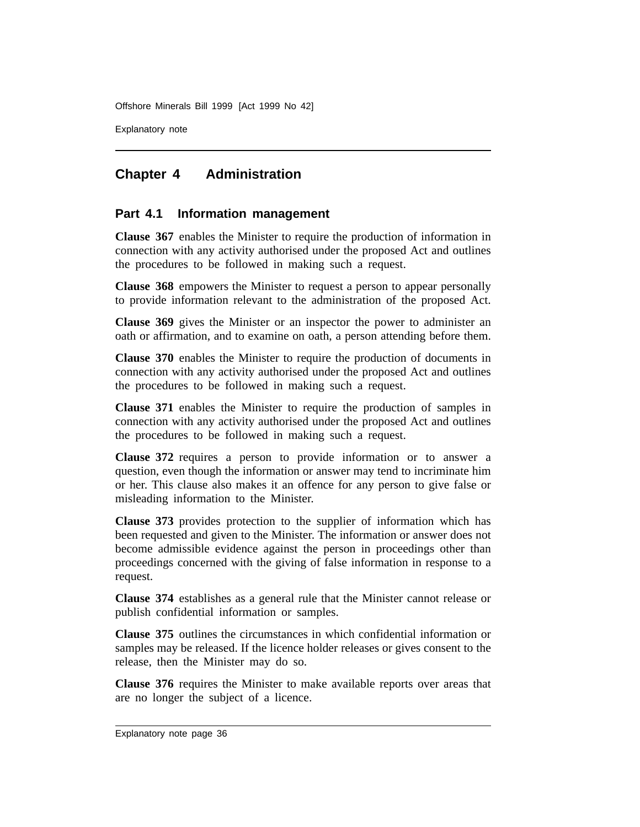Explanatory note

# **Chapter 4 Administration**

## **Part 4.1 Information management**

**Clause 367** enables the Minister to require the production of information in connection with any activity authorised under the proposed Act and outlines the procedures to be followed in making such a request.

**Clause 368** empowers the Minister to request a person to appear personally to provide information relevant to the administration of the proposed Act.

**Clause 369** gives the Minister or an inspector the power to administer an oath or affirmation, and to examine on oath, a person attending before them.

**Clause 370** enables the Minister to require the production of documents in connection with any activity authorised under the proposed Act and outlines the procedures to be followed in making such a request.

**Clause 371** enables the Minister to require the production of samples in connection with any activity authorised under the proposed Act and outlines the procedures to be followed in making such a request.

**Clause 372** requires a person to provide information or to answer a question, even though the information or answer may tend to incriminate him or her. This clause also makes it an offence for any person to give false or misleading information to the Minister.

**Clause 373** provides protection to the supplier of information which has been requested and given to the Minister. The information or answer does not become admissible evidence against the person in proceedings other than proceedings concerned with the giving of false information in response to a request.

**Clause 374** establishes as a general rule that the Minister cannot release or publish confidential information or samples.

**Clause 375** outlines the circumstances in which confidential information or samples may be released. If the licence holder releases or gives consent to the release, then the Minister may do so.

**Clause 376** requires the Minister to make available reports over areas that are no longer the subject of a licence.

Explanatory note page 36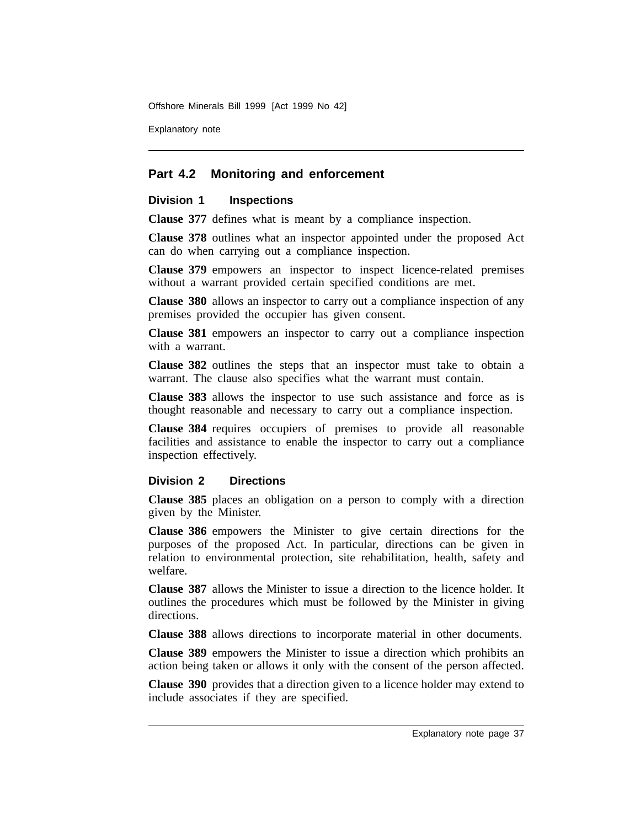Explanatory note

## **Part 4.2 Monitoring and enforcement**

#### **Division 1 Inspections**

**Clause 377** defines what is meant by a compliance inspection.

**Clause 378** outlines what an inspector appointed under the proposed Act can do when carrying out a compliance inspection.

**Clause 379** empowers an inspector to inspect licence-related premises without a warrant provided certain specified conditions are met.

**Clause 380** allows an inspector to carry out a compliance inspection of any premises provided the occupier has given consent.

**Clause 381** empowers an inspector to carry out a compliance inspection with a warrant.

**Clause 382** outlines the steps that an inspector must take to obtain a warrant. The clause also specifies what the warrant must contain.

**Clause 383** allows the inspector to use such assistance and force as is thought reasonable and necessary to carry out a compliance inspection.

**Clause 384** requires occupiers of premises to provide all reasonable facilities and assistance to enable the inspector to carry out a compliance inspection effectively.

### **Division 2 Directions**

**Clause 385** places an obligation on a person to comply with a direction given by the Minister.

**Clause 386** empowers the Minister to give certain directions for the purposes of the proposed Act. In particular, directions can be given in relation to environmental protection, site rehabilitation, health, safety and welfare.

**Clause 387** allows the Minister to issue a direction to the licence holder. It outlines the procedures which must be followed by the Minister in giving directions.

**Clause 388** allows directions to incorporate material in other documents.

**Clause 389** empowers the Minister to issue a direction which prohibits an action being taken or allows it only with the consent of the person affected.

**Clause 390** provides that a direction given to a licence holder may extend to include associates if they are specified.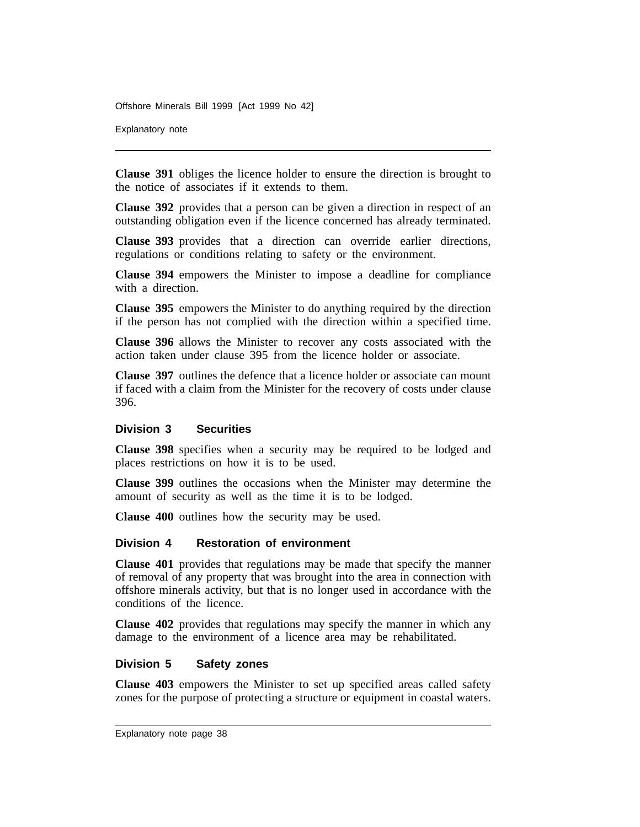Explanatory note

**Clause 391** obliges the licence holder to ensure the direction is brought to the notice of associates if it extends to them.

**Clause 392** provides that a person can be given a direction in respect of an outstanding obligation even if the licence concerned has already terminated.

**Clause 393** provides that a direction can override earlier directions, regulations or conditions relating to safety or the environment.

**Clause 394** empowers the Minister to impose a deadline for compliance with a direction.

**Clause 395** empowers the Minister to do anything required by the direction if the person has not complied with the direction within a specified time.

**Clause 396** allows the Minister to recover any costs associated with the action taken under clause 395 from the licence holder or associate.

**Clause 397** outlines the defence that a licence holder or associate can mount if faced with a claim from the Minister for the recovery of costs under clause 396.

#### **Division 3 Securities**

**Clause 398** specifies when a security may be required to be lodged and places restrictions on how it is to be used.

**Clause 399** outlines the occasions when the Minister may determine the amount of security as well as the time it is to be lodged.

**Clause 400** outlines how the security may be used.

#### **Division 4 Restoration of environment**

**Clause 401** provides that regulations may be made that specify the manner of removal of any property that was brought into the area in connection with offshore minerals activity, but that is no longer used in accordance with the conditions of the licence.

**Clause 402** provides that regulations may specify the manner in which any damage to the environment of a licence area may be rehabilitated.

#### **Division 5 Safety zones**

**Clause 403** empowers the Minister to set up specified areas called safety zones for the purpose of protecting a structure or equipment in coastal waters.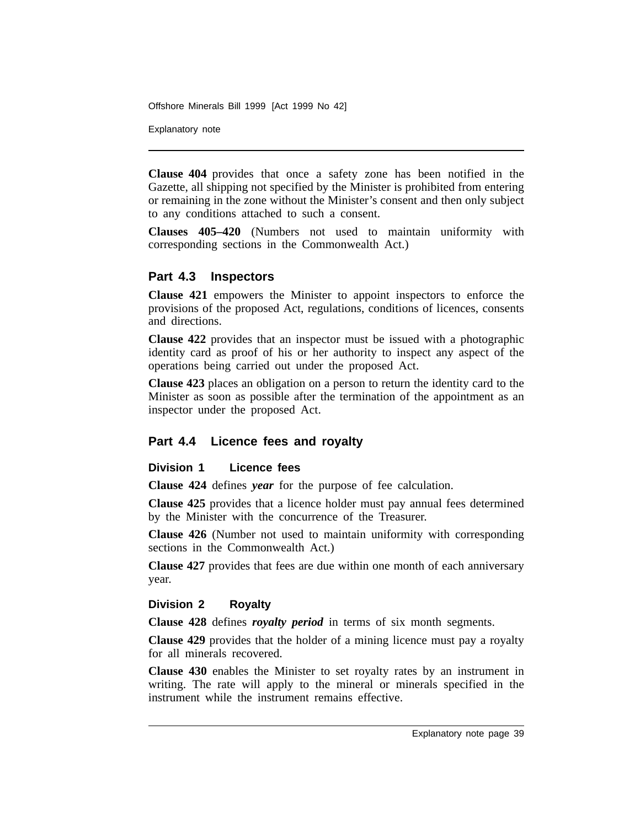Explanatory note

**Clause 404** provides that once a safety zone has been notified in the Gazette, all shipping not specified by the Minister is prohibited from entering or remaining in the zone without the Minister's consent and then only subject to any conditions attached to such a consent.

**Clauses 405–420** (Numbers not used to maintain uniformity with corresponding sections in the Commonwealth Act.)

## **Part 4.3 Inspectors**

**Clause 421** empowers the Minister to appoint inspectors to enforce the provisions of the proposed Act, regulations, conditions of licences, consents and directions.

**Clause 422** provides that an inspector must be issued with a photographic identity card as proof of his or her authority to inspect any aspect of the operations being carried out under the proposed Act.

**Clause 423** places an obligation on a person to return the identity card to the Minister as soon as possible after the termination of the appointment as an inspector under the proposed Act.

## **Part 4.4 Licence fees and royalty**

### **Division 1 Licence fees**

**Clause 424** defines *year* for the purpose of fee calculation.

**Clause 425** provides that a licence holder must pay annual fees determined by the Minister with the concurrence of the Treasurer.

**Clause 426** (Number not used to maintain uniformity with corresponding sections in the Commonwealth Act.)

**Clause 427** provides that fees are due within one month of each anniversary year.

### **Division 2 Royalty**

**Clause 428** defines *royalty period* in terms of six month segments.

**Clause 429** provides that the holder of a mining licence must pay a royalty for all minerals recovered.

**Clause 430** enables the Minister to set royalty rates by an instrument in writing. The rate will apply to the mineral or minerals specified in the instrument while the instrument remains effective.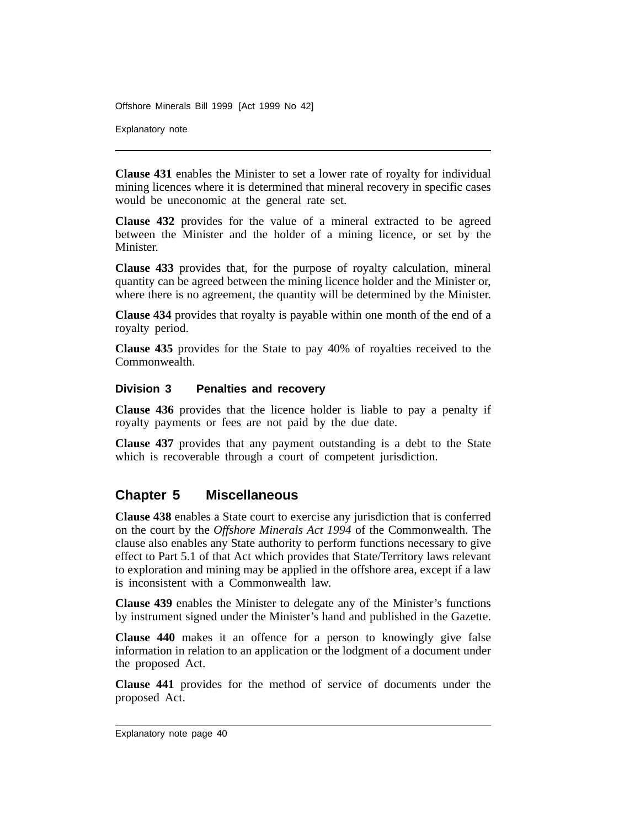Explanatory note

**Clause 431** enables the Minister to set a lower rate of royalty for individual mining licences where it is determined that mineral recovery in specific cases would be uneconomic at the general rate set.

**Clause 432** provides for the value of a mineral extracted to be agreed between the Minister and the holder of a mining licence, or set by the Minister.

**Clause 433** provides that, for the purpose of royalty calculation, mineral quantity can be agreed between the mining licence holder and the Minister or, where there is no agreement, the quantity will be determined by the Minister.

**Clause 434** provides that royalty is payable within one month of the end of a royalty period.

**Clause 435** provides for the State to pay 40% of royalties received to the Commonwealth.

### **Division 3 Penalties and recovery**

**Clause 436** provides that the licence holder is liable to pay a penalty if royalty payments or fees are not paid by the due date.

**Clause 437** provides that any payment outstanding is a debt to the State which is recoverable through a court of competent jurisdiction.

## **Chapter 5 Miscellaneous**

**Clause 438** enables a State court to exercise any jurisdiction that is conferred on the court by the *Offshore Minerals Act 1994* of the Commonwealth. The clause also enables any State authority to perform functions necessary to give effect to Part 5.1 of that Act which provides that State/Territory laws relevant to exploration and mining may be applied in the offshore area, except if a law is inconsistent with a Commonwealth law.

**Clause 439** enables the Minister to delegate any of the Minister's functions by instrument signed under the Minister's hand and published in the Gazette.

**Clause 440** makes it an offence for a person to knowingly give false information in relation to an application or the lodgment of a document under the proposed Act.

**Clause 441** provides for the method of service of documents under the proposed Act.

Explanatory note page 40